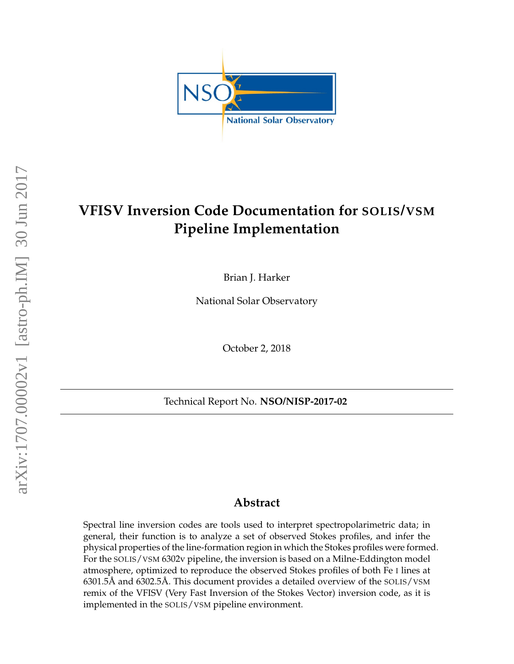

# **VFISV Inversion Code Documentation for SOLIS/VSM Pipeline Implementation**

Brian J. Harker

National Solar Observatory

October 2, 2018

Technical Report No. **NSO/NISP-2017-02**

## **Abstract**

Spectral line inversion codes are tools used to interpret spectropolarimetric data; in general, their function is to analyze a set of observed Stokes profiles, and infer the physical properties of the line-formation region in which the Stokes profiles were formed. For the SOLIS/VSM 6302v pipeline, the inversion is based on a Milne-Eddington model atmosphere, optimized to reproduce the observed Stokes profiles of both Fe I lines at 6301.5Å and 6302.5Å. This document provides a detailed overview of the  $SOLIS/VSM$ remix of the VFISV (Very Fast Inversion of the Stokes Vector) inversion code, as it is implemented in the SOLIS/VSM pipeline environment.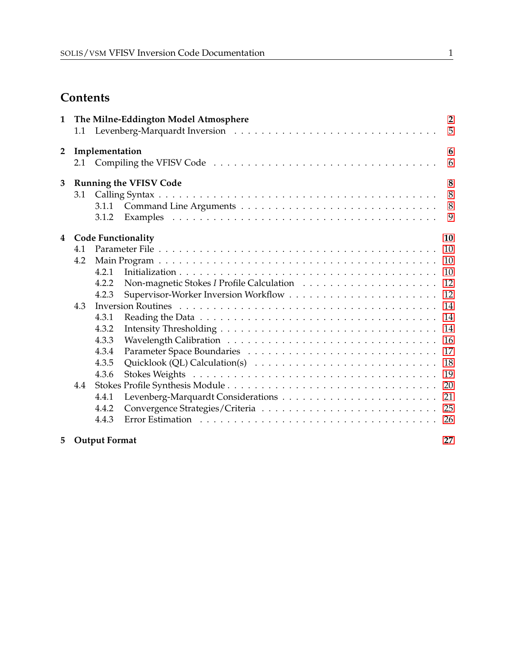## **Contents**

| $\mathbf{1}$   |                           | $\overline{2}$<br>The Milne-Eddington Model Atmosphere<br>5 |                                                                                                                                                                                                                                |                |  |  |  |  |
|----------------|---------------------------|-------------------------------------------------------------|--------------------------------------------------------------------------------------------------------------------------------------------------------------------------------------------------------------------------------|----------------|--|--|--|--|
| $\overline{2}$ |                           | Implementation<br>6                                         |                                                                                                                                                                                                                                |                |  |  |  |  |
|                | 2.1                       |                                                             |                                                                                                                                                                                                                                | 6              |  |  |  |  |
| 3              |                           |                                                             | <b>Running the VFISV Code</b>                                                                                                                                                                                                  | 8              |  |  |  |  |
|                | 8<br>3.1                  |                                                             |                                                                                                                                                                                                                                |                |  |  |  |  |
|                |                           | 3.1.1                                                       |                                                                                                                                                                                                                                | 8 <sup>8</sup> |  |  |  |  |
|                |                           | 3.1.2                                                       |                                                                                                                                                                                                                                | 9              |  |  |  |  |
| 4              | <b>Code Functionality</b> |                                                             |                                                                                                                                                                                                                                |                |  |  |  |  |
|                | 4.1                       |                                                             |                                                                                                                                                                                                                                | 10             |  |  |  |  |
|                | 4.2                       |                                                             |                                                                                                                                                                                                                                | 10             |  |  |  |  |
|                |                           | 4.2.1                                                       |                                                                                                                                                                                                                                | 10             |  |  |  |  |
|                |                           | 4.2.2                                                       |                                                                                                                                                                                                                                | 12             |  |  |  |  |
|                |                           | 4.2.3                                                       |                                                                                                                                                                                                                                | 12             |  |  |  |  |
|                | 4.3                       |                                                             |                                                                                                                                                                                                                                |                |  |  |  |  |
|                |                           | 4.3.1                                                       |                                                                                                                                                                                                                                | 14             |  |  |  |  |
|                |                           | 4.3.2                                                       |                                                                                                                                                                                                                                | 14             |  |  |  |  |
|                |                           | 4.3.3                                                       |                                                                                                                                                                                                                                | 16             |  |  |  |  |
|                |                           | 4.3.4                                                       |                                                                                                                                                                                                                                | 17             |  |  |  |  |
|                |                           | 4.3.5                                                       |                                                                                                                                                                                                                                | 18             |  |  |  |  |
|                |                           | 4.3.6                                                       |                                                                                                                                                                                                                                | 19             |  |  |  |  |
|                | 4.4                       |                                                             |                                                                                                                                                                                                                                | 20             |  |  |  |  |
|                |                           | 4.4.1                                                       |                                                                                                                                                                                                                                | 21             |  |  |  |  |
|                |                           | 4.4.2                                                       |                                                                                                                                                                                                                                | 25             |  |  |  |  |
|                |                           | 4.4.3                                                       | Error Estimation (a) respectively and the contract of the contract of the contract of the contract of the contract of the contract of the contract of the contract of the contract of the contract of the contract of the cont |                |  |  |  |  |
| 5              |                           | <b>Output Format</b>                                        |                                                                                                                                                                                                                                | 27             |  |  |  |  |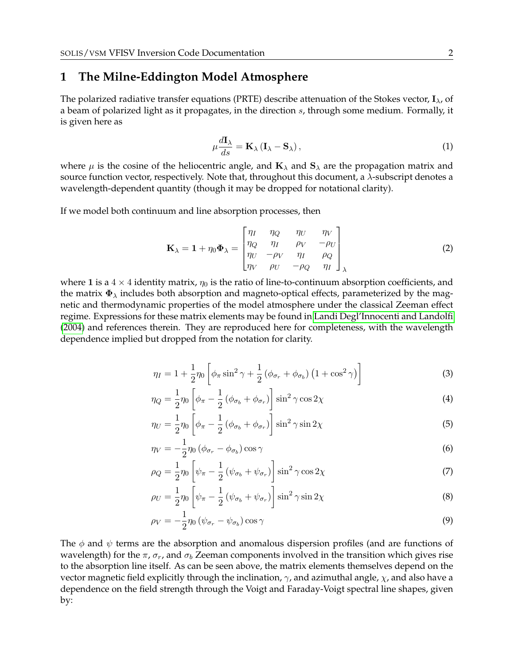#### <span id="page-2-0"></span>**1 The Milne-Eddington Model Atmosphere**

The polarized radiative transfer equations (PRTE) describe attenuation of the Stokes vector,  $I_{\lambda}$ , of a beam of polarized light as it propagates, in the direction  $s$ , through some medium. Formally, it is given here as

<span id="page-2-1"></span>
$$
\mu \frac{d\mathbf{I}_{\lambda}}{ds} = \mathbf{K}_{\lambda} \left( \mathbf{I}_{\lambda} - \mathbf{S}_{\lambda} \right),\tag{1}
$$

where  $\mu$  is the cosine of the heliocentric angle, and  $\mathbf{K}_{\lambda}$  and  $\mathbf{S}_{\lambda}$  are the propagation matrix and source function vector, respectively. Note that, throughout this document, a  $\lambda$ -subscript denotes a wavelength-dependent quantity (though it may be dropped for notational clarity).

If we model both continuum and line absorption processes, then

$$
\mathbf{K}_{\lambda} = \mathbf{1} + \eta_0 \mathbf{\Phi}_{\lambda} = \begin{bmatrix} \eta_I & \eta_Q & \eta_U & \eta_V \\ \eta_Q & \eta_I & \rho_V & -\rho_U \\ \eta_U & -\rho_V & \eta_I & \rho_Q \\ \eta_V & \rho_U & -\rho_Q & \eta_I \end{bmatrix}_{\lambda} \tag{2}
$$

where 1 is a  $4 \times 4$  identity matrix,  $\eta_0$  is the ratio of line-to-continuum absorption coefficients, and the matrix  $\Phi_{\lambda}$  includes both absorption and magneto-optical effects, parameterized by the magnetic and thermodynamic properties of the model atmosphere under the classical Zeeman effect regime. Expressions for these matrix elements may be found in [Landi Degl'Innocenti and Landolfi](#page-29-0) [\(2004\)](#page-29-0) and references therein. They are reproduced here for completeness, with the wavelength dependence implied but dropped from the notation for clarity.

$$
\eta_I = 1 + \frac{1}{2}\eta_0 \left[ \phi_\pi \sin^2 \gamma + \frac{1}{2} \left( \phi_{\sigma_r} + \phi_{\sigma_b} \right) \left( 1 + \cos^2 \gamma \right) \right]
$$
(3)

$$
\eta_Q = \frac{1}{2}\eta_0 \left[ \phi_\pi - \frac{1}{2} \left( \phi_{\sigma_b} + \phi_{\sigma_r} \right) \right] \sin^2 \gamma \cos 2\chi \tag{4}
$$

$$
\eta_U = \frac{1}{2}\eta_0 \left[ \phi_\pi - \frac{1}{2} \left( \phi_{\sigma_b} + \phi_{\sigma_r} \right) \right] \sin^2 \gamma \sin 2\chi \tag{5}
$$

$$
\eta_V = -\frac{1}{2}\eta_0 \left(\phi_{\sigma_r} - \phi_{\sigma_b}\right) \cos \gamma \tag{6}
$$

$$
\rho_Q = \frac{1}{2}\eta_0 \left[ \psi_\pi - \frac{1}{2} \left( \psi_{\sigma_b} + \psi_{\sigma_r} \right) \right] \sin^2 \gamma \cos 2\chi \tag{7}
$$

$$
\rho_U = \frac{1}{2}\eta_0 \left[ \psi_\pi - \frac{1}{2} \left( \psi_{\sigma_b} + \psi_{\sigma_r} \right) \right] \sin^2 \gamma \sin 2\chi \tag{8}
$$

$$
\rho_V = -\frac{1}{2}\eta_0 \left(\psi_{\sigma_r} - \psi_{\sigma_b}\right) \cos \gamma \tag{9}
$$

The  $\phi$  and  $\psi$  terms are the absorption and anomalous dispersion profiles (and are functions of wavelength) for the  $\pi$ ,  $\sigma_r$ , and  $\sigma_b$  Zeeman components involved in the transition which gives rise to the absorption line itself. As can be seen above, the matrix elements themselves depend on the vector magnetic field explicitly through the inclination,  $\gamma$ , and azimuthal angle,  $\chi$ , and also have a dependence on the field strength through the Voigt and Faraday-Voigt spectral line shapes, given by: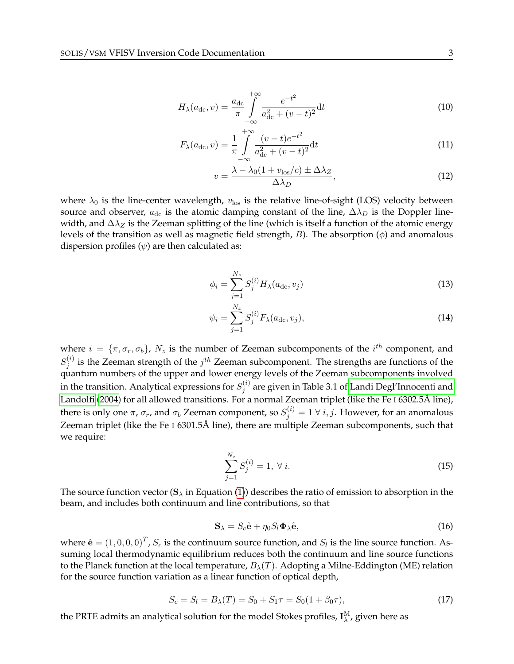$$
H_{\lambda}(a_{\rm dc}, v) = \frac{a_{\rm dc}}{\pi} \int_{-\infty}^{+\infty} \frac{e^{-t^2}}{a_{\rm dc}^2 + (v - t)^2} \mathrm{d}t \tag{10}
$$

$$
F_{\lambda}(a_{\rm dc}, v) = \frac{1}{\pi} \int_{-\infty}^{+\infty} \frac{(v - t)e^{-t^2}}{a_{\rm dc}^2 + (v - t)^2} \mathrm{d}t \tag{11}
$$

<span id="page-3-0"></span>
$$
v = \frac{\lambda - \lambda_0 (1 + v_{\text{los}}/c) \pm \Delta \lambda_Z}{\Delta \lambda_D},\tag{12}
$$

where  $\lambda_0$  is the line-center wavelength,  $v_{\text{los}}$  is the relative line-of-sight (LOS) velocity between source and observer,  $a_{dc}$  is the atomic damping constant of the line,  $\Delta \lambda_D$  is the Doppler linewidth, and  $\Delta \lambda_Z$  is the Zeeman splitting of the line (which is itself a function of the atomic energy levels of the transition as well as magnetic field strength,  $B$ ). The absorption  $(\phi)$  and anomalous dispersion profiles  $(\psi)$  are then calculated as:

$$
\phi_i = \sum_{j=1}^{N_z} S_j^{(i)} H_\lambda(a_{\rm dc}, v_j)
$$
\n(13)

$$
\psi_i = \sum_{j=1}^{N_z} S_j^{(i)} F_\lambda(a_{\rm dc}, v_j), \tag{14}
$$

where  $i = \{\pi, \sigma_r, \sigma_b\}$ ,  $N_z$  is the number of Zeeman subcomponents of the  $i^{th}$  component, and  $S_i^{(i)}$  $j^{(i)}_j$  is the Zeeman strength of the  $j^{th}$  Zeeman subcomponent. The strengths are functions of the quantum numbers of the upper and lower energy levels of the Zeeman subcomponents involved in the transition. Analytical expressions for  $S_i^{(i)}$  $j_j^{(i)}$  are given in Table 3.1 of [Landi Degl'Innocenti and](#page-29-0) [Landolfi](#page-29-0) [\(2004\)](#page-29-0) for all allowed transitions. For a normal Zeeman triplet (like the Fe I 6302.5Å line), there is only one  $\pi$ ,  $\sigma_r$ , and  $\sigma_b$  Zeeman component, so  $S_j^{(i)} = 1 \ \forall \ i,j.$  However, for an anomalous Zeeman triplet (like the Fe I 6301.5Å line), there are multiple Zeeman subcomponents, such that we require:

$$
\sum_{j=1}^{N_z} S_j^{(i)} = 1, \ \forall \ i.
$$
 (15)

The source function vector  $(S_{\lambda}$  in Equation [\(1\)](#page-2-1)) describes the ratio of emission to absorption in the beam, and includes both continuum and line contributions, so that

$$
\mathbf{S}_{\lambda} = S_c \hat{\mathbf{e}} + \eta_0 S_l \mathbf{\Phi}_{\lambda} \hat{\mathbf{e}}, \tag{16}
$$

where  $\hat{\mathbf{e}} = (1,0,0,0)^T$  ,  $S_c$  is the continuum source function, and  $S_l$  is the line source function. Assuming local thermodynamic equilibrium reduces both the continuum and line source functions to the Planck function at the local temperature,  $B_\lambda(T)$ . Adopting a Milne-Eddington (ME) relation for the source function variation as a linear function of optical depth,

$$
S_c = S_l = B_{\lambda}(T) = S_0 + S_1 \tau = S_0(1 + \beta_0 \tau), \tag{17}
$$

the PRTE admits an analytical solution for the model Stokes profiles,  $\mathbf{I}^\mathrm{M}_\lambda$ , given here as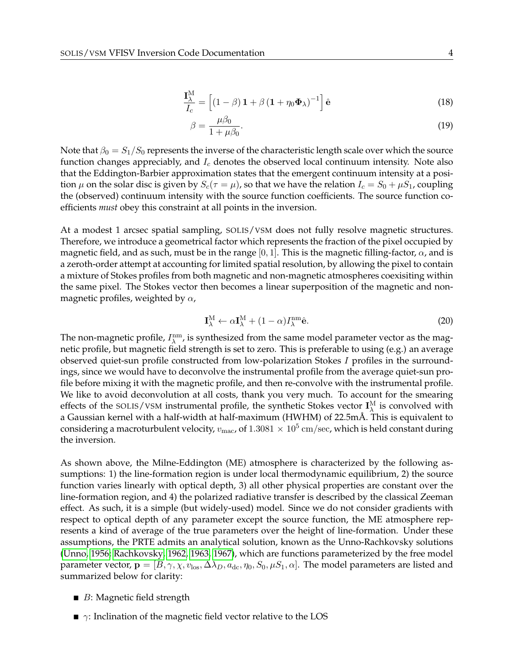$$
\frac{\mathbf{I}_{\lambda}^{\mathrm{M}}}{I_{c}} = \left[ (1 - \beta) \, \mathbf{1} + \beta \, (\mathbf{1} + \eta_{0} \mathbf{\Phi}_{\lambda})^{-1} \right] \hat{\mathbf{e}} \tag{18}
$$

$$
\beta = \frac{\mu \beta_0}{1 + \mu \beta_0}.\tag{19}
$$

Note that  $\beta_0 = S_1/S_0$  represents the inverse of the characteristic length scale over which the source function changes appreciably, and  $I_c$  denotes the observed local continuum intensity. Note also that the Eddington-Barbier approximation states that the emergent continuum intensity at a position  $\mu$  on the solar disc is given by  $S_c(\tau = \mu)$ , so that we have the relation  $I_c = S_0 + \mu S_1$ , coupling the (observed) continuum intensity with the source function coefficients. The source function coefficients *must* obey this constraint at all points in the inversion.

At a modest 1 arcsec spatial sampling, SOLIS/VSM does not fully resolve magnetic structures. Therefore, we introduce a geometrical factor which represents the fraction of the pixel occupied by magnetic field, and as such, must be in the range [0, 1]. This is the magnetic filling-factor,  $\alpha$ , and is a zeroth-order attempt at accounting for limited spatial resolution, by allowing the pixel to contain a mixture of Stokes profiles from both magnetic and non-magnetic atmospheres coexisiting within the same pixel. The Stokes vector then becomes a linear superposition of the magnetic and nonmagnetic profiles, weighted by  $\alpha$ ,

$$
\mathbf{I}_{\lambda}^{\mathrm{M}} \leftarrow \alpha \mathbf{I}_{\lambda}^{\mathrm{M}} + (1 - \alpha) I_{\lambda}^{\mathrm{nm}} \hat{\mathbf{e}}.
$$
 (20)

The non-magnetic profile,  $I_\lambda^{\text{nm}}$ , is synthesized from the same model parameter vector as the magnetic profile, but magnetic field strength is set to zero. This is preferable to using (e.g.) an average observed quiet-sun profile constructed from low-polarization Stokes I profiles in the surroundings, since we would have to deconvolve the instrumental profile from the average quiet-sun profile before mixing it with the magnetic profile, and then re-convolve with the instrumental profile. We like to avoid deconvolution at all costs, thank you very much. To account for the smearing effects of the SOLIS/VSM instrumental profile, the synthetic Stokes vector  $I_\lambda^M$  is convolved with a Gaussian kernel with a half-width at half-maximum (HWHM) of 22.5mÅ. This is equivalent to considering a macroturbulent velocity,  $v_{\rm mac}$ , of  $1.3081\times 10^5\,{\rm cm/sec}$ , which is held constant during the inversion.

As shown above, the Milne-Eddington (ME) atmosphere is characterized by the following assumptions: 1) the line-formation region is under local thermodynamic equilibrium, 2) the source function varies linearly with optical depth, 3) all other physical properties are constant over the line-formation region, and 4) the polarized radiative transfer is described by the classical Zeeman effect. As such, it is a simple (but widely-used) model. Since we do not consider gradients with respect to optical depth of any parameter except the source function, the ME atmosphere represents a kind of average of the true parameters over the height of line-formation. Under these assumptions, the PRTE admits an analytical solution, known as the Unno-Rachkovsky solutions [\(Unno, 1956;](#page-30-0) [Rachkovsky, 1962,](#page-30-1) [1963,](#page-30-2) [1967\)](#page-30-3), which are functions parameterized by the free model parameter vector,  ${\bf p} = [B, \gamma, \chi, v_{\rm los}, \Delta\lambda_D, a_{\rm dc}, \eta_0, S_0, \mu S_1, \alpha]$ . The model parameters are listed and summarized below for clarity:

- $\blacksquare$  *B*: Magnetic field strength
- $\blacksquare$   $\gamma$ : Inclination of the magnetic field vector relative to the LOS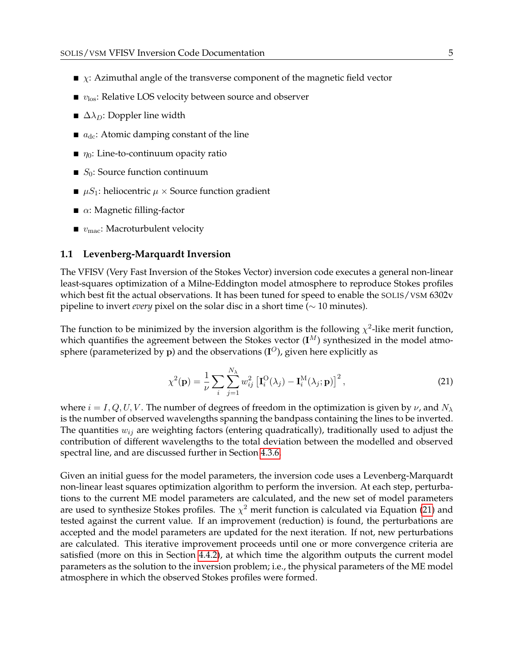- $\blacktriangleright$   $\chi$ : Azimuthal angle of the transverse component of the magnetic field vector
- $\bullet$   $v_{\text{los}}$ : Relative LOS velocity between source and observer
- $\triangle$   $\Delta\lambda_D$ : Doppler line width
- $a_{\rm dc}$ : Atomic damping constant of the line
- $\blacksquare$   $\eta_0$ : Line-to-continuum opacity ratio
- $S_0$ : Source function continuum
- $\blacksquare$   $\mu S_1$ : heliocentric  $\mu \times$  Source function gradient
- $\blacksquare$   $\alpha$ : Magnetic filling-factor
- $\blacksquare$   $v_{\text{mac}}$ : Macroturbulent velocity

#### <span id="page-5-0"></span>**1.1 Levenberg-Marquardt Inversion**

The VFISV (Very Fast Inversion of the Stokes Vector) inversion code executes a general non-linear least-squares optimization of a Milne-Eddington model atmosphere to reproduce Stokes profiles which best fit the actual observations. It has been tuned for speed to enable the SOLIS/VSM 6302v pipeline to invert *every* pixel on the solar disc in a short time (∼ 10 minutes).

The function to be minimized by the inversion algorithm is the following  $\chi^2$ -like merit function, which quantifies the agreement between the Stokes vector  $(I^M)$  synthesized in the model atmosphere (parameterized by  ${\bf p}$ ) and the observations ( ${\bf I}^O$ ), given here explicitly as

<span id="page-5-1"></span>
$$
\chi^2(\mathbf{p}) = \frac{1}{\nu} \sum_{i} \sum_{j=1}^{N_{\lambda}} w_{ij}^2 \left[ \mathbf{I}_i^{\text{O}}(\lambda_j) - \mathbf{I}_i^{\text{M}}(\lambda_j; \mathbf{p}) \right]^2, \tag{21}
$$

where  $i = I, Q, U, V$ . The number of degrees of freedom in the optimization is given by  $\nu$ , and  $N_\lambda$ is the number of observed wavelengths spanning the bandpass containing the lines to be inverted. The quantities  $w_{ij}$  are weighting factors (entering quadratically), traditionally used to adjust the contribution of different wavelengths to the total deviation between the modelled and observed spectral line, and are discussed further in Section [4.3.6.](#page-19-0)

Given an initial guess for the model parameters, the inversion code uses a Levenberg-Marquardt non-linear least squares optimization algorithm to perform the inversion. At each step, perturbations to the current ME model parameters are calculated, and the new set of model parameters are used to synthesize Stokes profiles. The  $\chi^2$  merit function is calculated via Equation [\(21\)](#page-5-1) and tested against the current value. If an improvement (reduction) is found, the perturbations are accepted and the model parameters are updated for the next iteration. If not, new perturbations are calculated. This iterative improvement proceeds until one or more convergence criteria are satisfied (more on this in Section [4.4.2\)](#page-25-0), at which time the algorithm outputs the current model parameters as the solution to the inversion problem; i.e., the physical parameters of the ME model atmosphere in which the observed Stokes profiles were formed.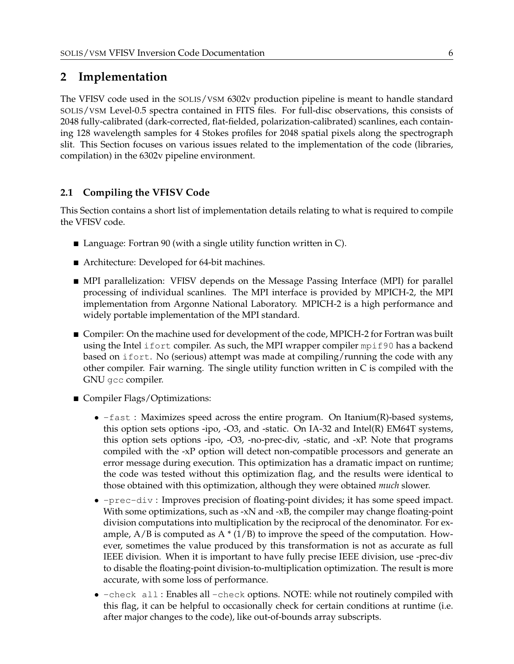## <span id="page-6-0"></span>**2 Implementation**

The VFISV code used in the SOLIS/VSM 6302v production pipeline is meant to handle standard SOLIS/VSM Level-0.5 spectra contained in FITS files. For full-disc observations, this consists of 2048 fully-calibrated (dark-corrected, flat-fielded, polarization-calibrated) scanlines, each containing 128 wavelength samples for 4 Stokes profiles for 2048 spatial pixels along the spectrograph slit. This Section focuses on various issues related to the implementation of the code (libraries, compilation) in the 6302v pipeline environment.

### <span id="page-6-1"></span>**2.1 Compiling the VFISV Code**

This Section contains a short list of implementation details relating to what is required to compile the VFISV code.

- Language: Fortran 90 (with a single utility function written in C).
- Architecture: Developed for 64-bit machines.
- MPI parallelization: VFISV depends on the Message Passing Interface (MPI) for parallel processing of individual scanlines. The MPI interface is provided by MPICH-2, the MPI implementation from Argonne National Laboratory. MPICH-2 is a high performance and widely portable implementation of the MPI standard.
- **Compiler: On the machine used for development of the code, MPICH-2 for Fortran was built** using the Intel ifort compiler. As such, the MPI wrapper compiler mpif90 has a backend based on ifort. No (serious) attempt was made at compiling/running the code with any other compiler. Fair warning. The single utility function written in C is compiled with the GNU gcc compiler.
- Compiler Flags/Optimizations:
	- $-fast$ : Maximizes speed across the entire program. On Itanium(R)-based systems, this option sets options -ipo, -O3, and -static. On IA-32 and Intel(R) EM64T systems, this option sets options -ipo, -O3, -no-prec-div, -static, and -xP. Note that programs compiled with the -xP option will detect non-compatible processors and generate an error message during execution. This optimization has a dramatic impact on runtime; the code was tested without this optimization flag, and the results were identical to those obtained with this optimization, although they were obtained *much* slower.
	- -prec-div : Improves precision of floating-point divides; it has some speed impact. With some optimizations, such as  $-xN$  and  $-xB$ , the compiler may change floating-point division computations into multiplication by the reciprocal of the denominator. For example,  $A/B$  is computed as  $A * (1/B)$  to improve the speed of the computation. However, sometimes the value produced by this transformation is not as accurate as full IEEE division. When it is important to have fully precise IEEE division, use -prec-div to disable the floating-point division-to-multiplication optimization. The result is more accurate, with some loss of performance.
	- -check all : Enables all -check options. NOTE: while not routinely compiled with this flag, it can be helpful to occasionally check for certain conditions at runtime (i.e. after major changes to the code), like out-of-bounds array subscripts.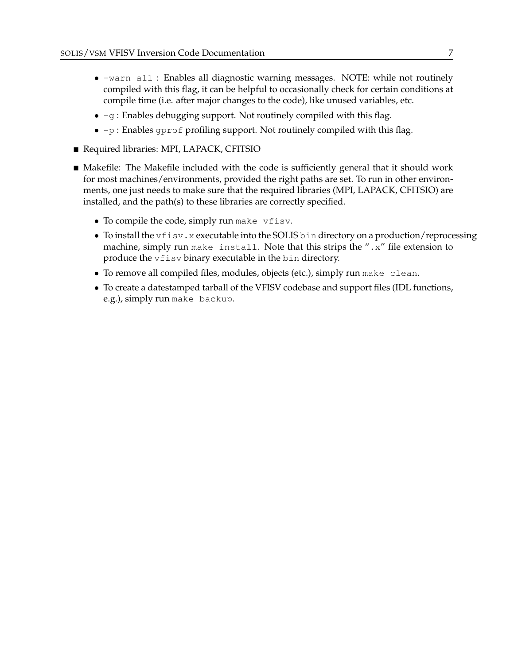- -warn all : Enables all diagnostic warning messages. NOTE: while not routinely compiled with this flag, it can be helpful to occasionally check for certain conditions at compile time (i.e. after major changes to the code), like unused variables, etc.
- $\bullet$  -g : Enables debugging support. Not routinely compiled with this flag.
- $\bullet$  -p : Enables gprof profiling support. Not routinely compiled with this flag.
- Required libraries: MPI, LAPACK, CFITSIO
- Makefile: The Makefile included with the code is sufficiently general that it should work for most machines/environments, provided the right paths are set. To run in other environments, one just needs to make sure that the required libraries (MPI, LAPACK, CFITSIO) are installed, and the path(s) to these libraries are correctly specified.
	- To compile the code, simply run make vfisv.
	- To install the vfisv.x executable into the SOLIS bin directory on a production/reprocessing machine, simply run make install. Note that this strips the ".x" file extension to produce the vfisv binary executable in the bin directory.
	- To remove all compiled files, modules, objects (etc.), simply run make clean.
	- To create a datestamped tarball of the VFISV codebase and support files (IDL functions, e.g.), simply run make backup.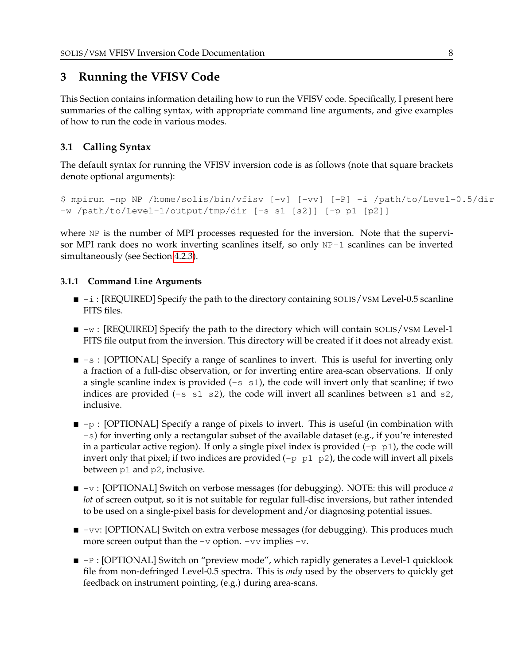## <span id="page-8-0"></span>**3 Running the VFISV Code**

This Section contains information detailing how to run the VFISV code. Specifically, I present here summaries of the calling syntax, with appropriate command line arguments, and give examples of how to run the code in various modes.

## <span id="page-8-1"></span>**3.1 Calling Syntax**

The default syntax for running the VFISV inversion code is as follows (note that square brackets denote optional arguments):

```
$ mpirun -np NP /home/solis/bin/vfisv [-v] [-vv] [-P] -i /path/to/Level-0.5/dir
-w /path/to/Level-1/output/tmp/dir [-s s1 [s2]] [-p p1 [p2]]
```
where NP is the number of MPI processes requested for the inversion. Note that the supervisor MPI rank does no work inverting scanlines itself, so only NP-1 scanlines can be inverted simultaneously (see Section [4.2.3\)](#page-12-1).

#### <span id="page-8-2"></span>**3.1.1 Command Line Arguments**

- $\blacksquare$  -i : [REQUIRED] Specify the path to the directory containing SOLIS/VSM Level-0.5 scanline FITS files.
- $\blacksquare$   $\neg$ w : [REQUIRED] Specify the path to the directory which will contain SOLIS/VSM Level-1 FITS file output from the inversion. This directory will be created if it does not already exist.
- $\blacksquare$  -s : [OPTIONAL] Specify a range of scanlines to invert. This is useful for inverting only a fraction of a full-disc observation, or for inverting entire area-scan observations. If only a single scanline index is provided  $(-s \, s_1)$ , the code will invert only that scanline; if two indices are provided  $(-s \, s1 \, s2)$ , the code will invert all scanlines between s1 and s2, inclusive.
- $\blacksquare$  -p : [OPTIONAL] Specify a range of pixels to invert. This is useful (in combination with -s) for inverting only a rectangular subset of the available dataset (e.g., if you're interested in a particular active region). If only a single pixel index is provided  $(-p \; p1)$ , the code will invert only that pixel; if two indices are provided  $(-p \, p1 \, p2)$ , the code will invert all pixels between p1 and p2, inclusive.
- $-v$  : [OPTIONAL] Switch on verbose messages (for debugging). NOTE: this will produce *a lot* of screen output, so it is not suitable for regular full-disc inversions, but rather intended to be used on a single-pixel basis for development and/or diagnosing potential issues.
- -vv: [OPTIONAL] Switch on extra verbose messages (for debugging). This produces much more screen output than the  $-v$  option.  $-vv$  implies  $-v$ .
- $\blacksquare$  -P : [OPTIONAL] Switch on "preview mode", which rapidly generates a Level-1 quicklook file from non-defringed Level-0.5 spectra. This is *only* used by the observers to quickly get feedback on instrument pointing, (e.g.) during area-scans.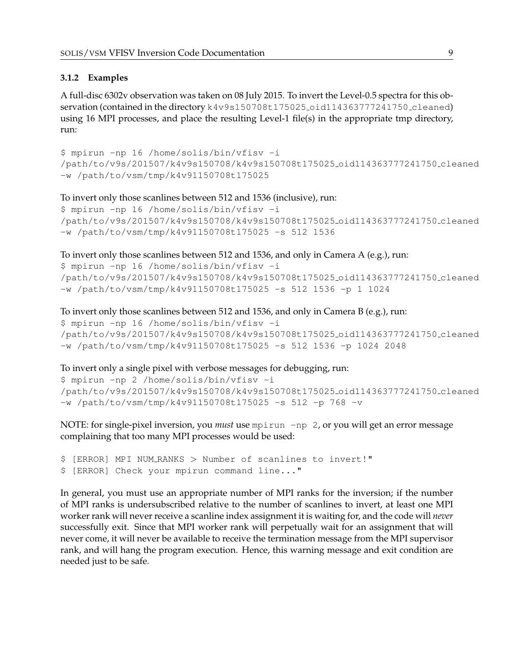#### <span id="page-9-0"></span>**3.1.2 Examples**

A full-disc 6302v observation was taken on 08 July 2015. To invert the Level-0.5 spectra for this observation (contained in the directory k4v9s150708t175025\_oid114363777241750\_cleaned) using 16 MPI processes, and place the resulting Level-1 file(s) in the appropriate tmp directory, run:

```
$ mpirun -np 16 /home/solis/bin/vfisv -i
/path/to/v9s/201507/k4v9s150708/k4v9s150708t175025 oid114363777241750 cleaned
-w /path/to/vsm/tmp/k4v91150708t175025
```
To invert only those scanlines between 512 and 1536 (inclusive), run:

```
$ mpirun -np 16 /home/solis/bin/vfisv -i
/path/to/v9s/201507/k4v9s150708/k4v9s150708t175025 oid114363777241750 cleaned
-w /path/to/vsm/tmp/k4v91150708t175025 -s 512 1536
```
To invert only those scanlines between 512 and 1536, and only in Camera A (e.g.), run:

```
$ mpirun -np 16 /home/solis/bin/vfisv -i
/path/to/v9s/201507/k4v9s150708/k4v9s150708t175025 oid114363777241750 cleaned
-w /path/to/vsm/tmp/k4v91150708t175025 -s 512 1536 -p 1 1024
```

```
To invert only those scanlines between 512 and 1536, and only in Camera B (e.g.), run:
$ mpirun -np 16 /home/solis/bin/vfisv -i
/path/to/v9s/201507/k4v9s150708/k4v9s150708t175025 oid114363777241750 cleaned
-w /path/to/vsm/tmp/k4v91150708t175025 -s 512 1536 -p 1024 2048
```
To invert only a single pixel with verbose messages for debugging, run:

```
$ mpirun -np 2 /home/solis/bin/vfisv -i
/path/to/v9s/201507/k4v9s150708/k4v9s150708t175025 oid114363777241750 cleaned
-w /path/to/vsm/tmp/k4v91150708t175025 -s 512 -p 768 -v
```
NOTE: for single-pixel inversion, you *must* use mpirun -np 2, or you will get an error message complaining that too many MPI processes would be used:

```
$ [ERROR] MPI NUM RANKS > Number of scanlines to invert!"
$ [ERROR] Check your mpirun command line..."
```
In general, you must use an appropriate number of MPI ranks for the inversion; if the number of MPI ranks is undersubscribed relative to the number of scanlines to invert, at least one MPI worker rank will never receive a scanline index assignment it is waiting for, and the code will *never* successfully exit. Since that MPI worker rank will perpetually wait for an assignment that will never come, it will never be available to receive the termination message from the MPI supervisor rank, and will hang the program execution. Hence, this warning message and exit condition are needed just to be safe.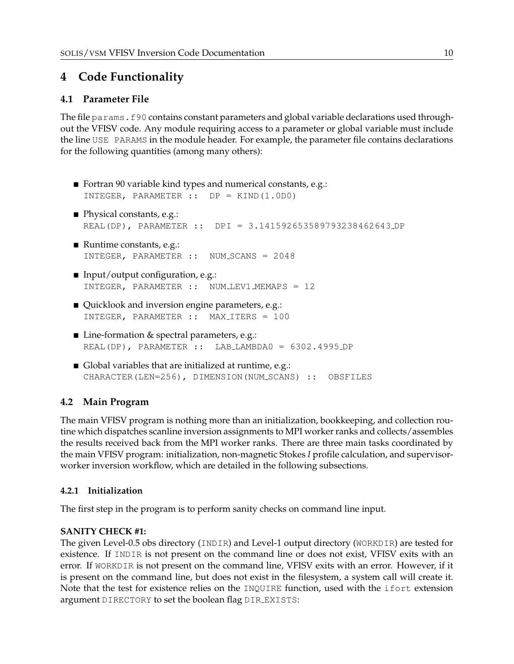## <span id="page-10-0"></span>**4 Code Functionality**

## <span id="page-10-1"></span>**4.1 Parameter File**

The file params.f90 contains constant parameters and global variable declarations used throughout the VFISV code. Any module requiring access to a parameter or global variable must include the line USE PARAMS in the module header. For example, the parameter file contains declarations for the following quantities (among many others):

- Fortran 90 variable kind types and numerical constants, e.g.: INTEGER, PARAMETER :: DP = KIND(1.0D0)
- Physical constants, e.g.: REAL(DP), PARAMETER :: DPI = 3.141592653589793238462643 DP
- Runtime constants, e.g.: INTEGER, PARAMETER :: NUM SCANS = 2048
- $\blacksquare$  Input/output configuration, e.g.: INTEGER, PARAMETER :: NUM LEV1 MEMAPS = 12
- Quicklook and inversion engine parameters, e.g.: INTEGER, PARAMETER :: MAX ITERS = 100
- Line-formation & spectral parameters, e.g.: REAL(DP), PARAMETER :: LAB LAMBDA0 = 6302.4995 DP
- Global variables that are initialized at runtime, e.g.: CHARACTER(LEN=256), DIMENSION(NUM\_SCANS) :: OBSFILES

## <span id="page-10-2"></span>**4.2 Main Program**

The main VFISV program is nothing more than an initialization, bookkeeping, and collection routine which dispatches scanline inversion assignments to MPI worker ranks and collects/assembles the results received back from the MPI worker ranks. There are three main tasks coordinated by the main VFISV program: initialization, non-magnetic Stokes *I* profile calculation, and supervisorworker inversion workflow, which are detailed in the following subsections.

#### <span id="page-10-3"></span>**4.2.1 Initialization**

The first step in the program is to perform sanity checks on command line input.

#### **SANITY CHECK #1:**

The given Level-0.5 obs directory (INDIR) and Level-1 output directory (WORKDIR) are tested for existence. If INDIR is not present on the command line or does not exist, VFISV exits with an error. If WORKDIR is not present on the command line, VFISV exits with an error. However, if it is present on the command line, but does not exist in the filesystem, a system call will create it. Note that the test for existence relies on the INQUIRE function, used with the ifort extension argument DIRECTORY to set the boolean flag DIR EXISTS: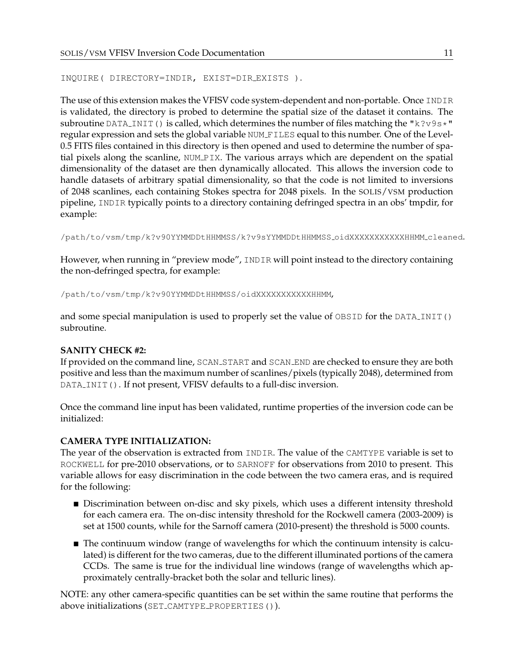```
INQUIRE( DIRECTORY=INDIR, EXIST=DIR EXISTS ).
```
The use of this extension makes the VFISV code system-dependent and non-portable. Once INDIR is validated, the directory is probed to determine the spatial size of the dataset it contains. The subroutine DATA\_INIT() is called, which determines the number of files matching the "k?v9s $\star$ " regular expression and sets the global variable NUM FILES equal to this number. One of the Level-0.5 FITS files contained in this directory is then opened and used to determine the number of spatial pixels along the scanline, NUM PIX. The various arrays which are dependent on the spatial dimensionality of the dataset are then dynamically allocated. This allows the inversion code to handle datasets of arbitrary spatial dimensionality, so that the code is not limited to inversions of 2048 scanlines, each containing Stokes spectra for 2048 pixels. In the SOLIS/VSM production pipeline, INDIR typically points to a directory containing defringed spectra in an obs' tmpdir, for example:

/path/to/vsm/tmp/k?v90YYMMDDtHHMMSS/k?v9sYYMMDDtHHMMSS oidXXXXXXXXXXXHHMM cleaned.

However, when running in "preview mode", INDIR will point instead to the directory containing the non-defringed spectra, for example:

/path/to/vsm/tmp/k?v90YYMMDDtHHMMSS/oidXXXXXXXXXXXHHMM,

and some special manipulation is used to properly set the value of  $OBSID$  for the DATA\_INIT() subroutine.

#### **SANITY CHECK #2:**

If provided on the command line, SCAN START and SCAN END are checked to ensure they are both positive and less than the maximum number of scanlines/pixels (typically 2048), determined from DATA\_INIT(). If not present, VFISV defaults to a full-disc inversion.

Once the command line input has been validated, runtime properties of the inversion code can be initialized:

#### **CAMERA TYPE INITIALIZATION:**

The year of the observation is extracted from INDIR. The value of the CAMTYPE variable is set to ROCKWELL for pre-2010 observations, or to SARNOFF for observations from 2010 to present. This variable allows for easy discrimination in the code between the two camera eras, and is required for the following:

- **Discrimination between on-disc and sky pixels, which uses a different intensity threshold** for each camera era. The on-disc intensity threshold for the Rockwell camera (2003-2009) is set at 1500 counts, while for the Sarnoff camera (2010-present) the threshold is 5000 counts.
- The continuum window (range of wavelengths for which the continuum intensity is calculated) is different for the two cameras, due to the different illuminated portions of the camera CCDs. The same is true for the individual line windows (range of wavelengths which approximately centrally-bracket both the solar and telluric lines).

NOTE: any other camera-specific quantities can be set within the same routine that performs the above initializations (SET\_CAMTYPE\_PROPERTIES()).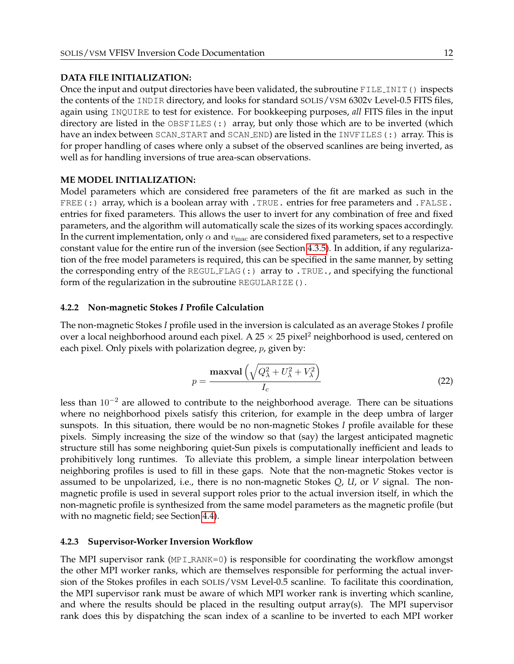#### **DATA FILE INITIALIZATION:**

Once the input and output directories have been validated, the subroutine FILE INIT() inspects the contents of the INDIR directory, and looks for standard SOLIS/VSM 6302v Level-0.5 FITS files, again using INQUIRE to test for existence. For bookkeeping purposes, *all* FITS files in the input directory are listed in the  $OBSFILES$  (:) array, but only those which are to be inverted (which have an index between SCAN\_START and SCAN\_END) are listed in the INVFILES(:) array. This is for proper handling of cases where only a subset of the observed scanlines are being inverted, as well as for handling inversions of true area-scan observations.

#### **ME MODEL INITIALIZATION:**

Model parameters which are considered free parameters of the fit are marked as such in the FREE(:) array, which is a boolean array with . TRUE. entries for free parameters and . FALSE. entries for fixed parameters. This allows the user to invert for any combination of free and fixed parameters, and the algorithm will automatically scale the sizes of its working spaces accordingly. In the current implementation, only  $\alpha$  and  $v_{\text{mac}}$  are considered fixed parameters, set to a respective constant value for the entire run of the inversion (see Section [4.3.5\)](#page-18-0). In addition, if any regularization of the free model parameters is required, this can be specified in the same manner, by setting the corresponding entry of the REGUL FLAG(:) array to .TRUE., and specifying the functional form of the regularization in the subroutine REGULARIZE().

#### <span id="page-12-0"></span>**4.2.2 Non-magnetic Stokes** *I* **Profile Calculation**

The non-magnetic Stokes *I* profile used in the inversion is calculated as an average Stokes *I* profile over a local neighborhood around each pixel. A  $25 \times 25$  pixel<sup>2</sup> neighborhood is used, centered on each pixel. Only pixels with polarization degree,  $p$ , given by:

$$
p = \frac{\text{maxval}\left(\sqrt{Q_{\lambda}^2 + U_{\lambda}^2 + V_{\lambda}^2}\right)}{I_c}
$$
 (22)

less than  $10^{-2}$  are allowed to contribute to the neighborhood average. There can be situations where no neighborhood pixels satisfy this criterion, for example in the deep umbra of larger sunspots. In this situation, there would be no non-magnetic Stokes *I* profile available for these pixels. Simply increasing the size of the window so that (say) the largest anticipated magnetic structure still has some neighboring quiet-Sun pixels is computationally inefficient and leads to prohibitively long runtimes. To alleviate this problem, a simple linear interpolation between neighboring profiles is used to fill in these gaps. Note that the non-magnetic Stokes vector is assumed to be unpolarized, i.e., there is no non-magnetic Stokes *Q*, *U*, or *V* signal. The nonmagnetic profile is used in several support roles prior to the actual inversion itself, in which the non-magnetic profile is synthesized from the same model parameters as the magnetic profile (but with no magnetic field; see Section [4.4\)](#page-20-0).

#### <span id="page-12-1"></span>**4.2.3 Supervisor-Worker Inversion Workflow**

The MPI supervisor rank (MPI\_RANK=0) is responsible for coordinating the workflow amongst the other MPI worker ranks, which are themselves responsible for performing the actual inversion of the Stokes profiles in each SOLIS/VSM Level-0.5 scanline. To facilitate this coordination, the MPI supervisor rank must be aware of which MPI worker rank is inverting which scanline, and where the results should be placed in the resulting output array(s). The MPI supervisor rank does this by dispatching the scan index of a scanline to be inverted to each MPI worker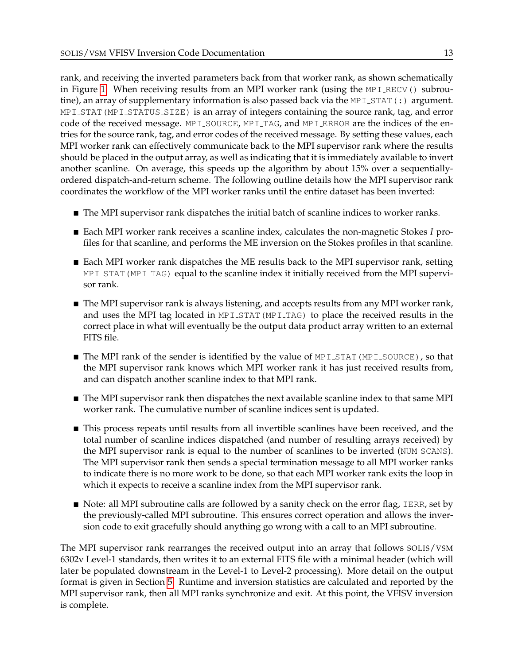rank, and receiving the inverted parameters back from that worker rank, as shown schematically in Figure [1.](#page-14-3) When receiving results from an MPI worker rank (using the MPI RECV() subroutine), an array of supplementary information is also passed back via the MPI\_STAT(:) argument. MPI\_STAT (MPI\_STATUS\_SIZE) is an array of integers containing the source rank, tag, and error code of the received message. MPI\_SOURCE, MPI\_TAG, and MPI\_ERROR are the indices of the entries for the source rank, tag, and error codes of the received message. By setting these values, each MPI worker rank can effectively communicate back to the MPI supervisor rank where the results should be placed in the output array, as well as indicating that it is immediately available to invert another scanline. On average, this speeds up the algorithm by about 15% over a sequentiallyordered dispatch-and-return scheme. The following outline details how the MPI supervisor rank coordinates the workflow of the MPI worker ranks until the entire dataset has been inverted:

- The MPI supervisor rank dispatches the initial batch of scanline indices to worker ranks.
- Each MPI worker rank receives a scanline index, calculates the non-magnetic Stokes *I* profiles for that scanline, and performs the ME inversion on the Stokes profiles in that scanline.
- Each MPI worker rank dispatches the ME results back to the MPI supervisor rank, setting  $MPI$  STAT (MPI TAG) equal to the scanline index it initially received from the MPI supervisor rank.
- The MPI supervisor rank is always listening, and accepts results from any MPI worker rank, and uses the MPI tag located in MPI STAT (MPI TAG) to place the received results in the correct place in what will eventually be the output data product array written to an external FITS file.
- $\blacksquare$  The MPI rank of the sender is identified by the value of MPI\_STAT (MPI\_SOURCE), so that the MPI supervisor rank knows which MPI worker rank it has just received results from, and can dispatch another scanline index to that MPI rank.
- The MPI supervisor rank then dispatches the next available scanline index to that same MPI worker rank. The cumulative number of scanline indices sent is updated.
- $\blacksquare$  This process repeats until results from all invertible scanlines have been received, and the total number of scanline indices dispatched (and number of resulting arrays received) by the MPI supervisor rank is equal to the number of scanlines to be inverted (NUM SCANS). The MPI supervisor rank then sends a special termination message to all MPI worker ranks to indicate there is no more work to be done, so that each MPI worker rank exits the loop in which it expects to receive a scanline index from the MPI supervisor rank.
- Note: all MPI subroutine calls are followed by a sanity check on the error flag, IERR, set by the previously-called MPI subroutine. This ensures correct operation and allows the inversion code to exit gracefully should anything go wrong with a call to an MPI subroutine.

The MPI supervisor rank rearranges the received output into an array that follows SOLIS/VSM 6302v Level-1 standards, then writes it to an external FITS file with a minimal header (which will later be populated downstream in the Level-1 to Level-2 processing). More detail on the output format is given in Section [5.](#page-27-0) Runtime and inversion statistics are calculated and reported by the MPI supervisor rank, then all MPI ranks synchronize and exit. At this point, the VFISV inversion is complete.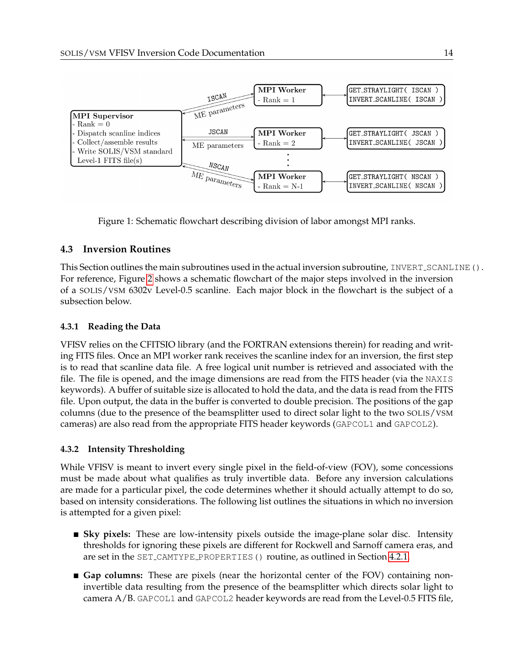

<span id="page-14-3"></span>Figure 1: Schematic flowchart describing division of labor amongst MPI ranks.

### <span id="page-14-0"></span>**4.3 Inversion Routines**

This Section outlines the main subroutines used in the actual inversion subroutine, INVERT\_SCANLINE(). For reference, Figure [2](#page-15-0) shows a schematic flowchart of the major steps involved in the inversion of a SOLIS/VSM 6302v Level-0.5 scanline. Each major block in the flowchart is the subject of a subsection below.

#### <span id="page-14-1"></span>**4.3.1 Reading the Data**

VFISV relies on the CFITSIO library (and the FORTRAN extensions therein) for reading and writing FITS files. Once an MPI worker rank receives the scanline index for an inversion, the first step is to read that scanline data file. A free logical unit number is retrieved and associated with the file. The file is opened, and the image dimensions are read from the FITS header (via the NAXIS keywords). A buffer of suitable size is allocated to hold the data, and the data is read from the FITS file. Upon output, the data in the buffer is converted to double precision. The positions of the gap columns (due to the presence of the beamsplitter used to direct solar light to the two SOLIS/VSM cameras) are also read from the appropriate FITS header keywords (GAPCOL1 and GAPCOL2).

#### <span id="page-14-2"></span>**4.3.2 Intensity Thresholding**

While VFISV is meant to invert every single pixel in the field-of-view (FOV), some concessions must be made about what qualifies as truly invertible data. Before any inversion calculations are made for a particular pixel, the code determines whether it should actually attempt to do so, based on intensity considerations. The following list outlines the situations in which no inversion is attempted for a given pixel:

- **Sky pixels:** These are low-intensity pixels outside the image-plane solar disc. Intensity thresholds for ignoring these pixels are different for Rockwell and Sarnoff camera eras, and are set in the SET CAMTYPE PROPERTIES() routine, as outlined in Section [4.2.1.](#page-10-3)
- **Gap columns:** These are pixels (near the horizontal center of the FOV) containing noninvertible data resulting from the presence of the beamsplitter which directs solar light to camera  $A/B$ . GAPCOL1 and GAPCOL2 header keywords are read from the Level-0.5 FITS file,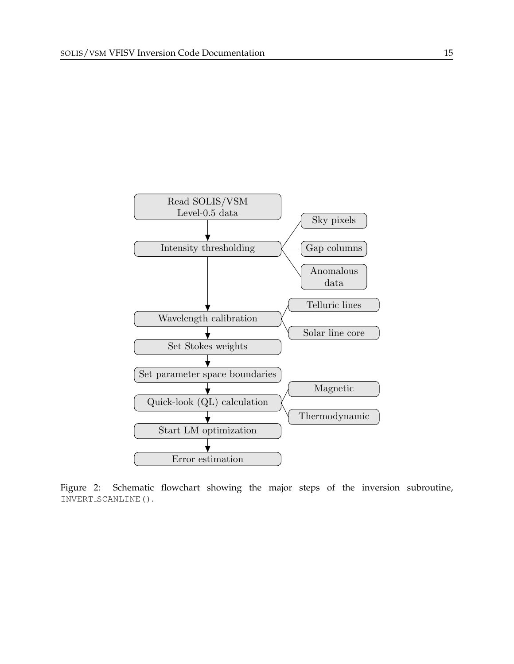

<span id="page-15-0"></span>Figure 2: Schematic flowchart showing the major steps of the inversion subroutine, INVERT\_SCANLINE().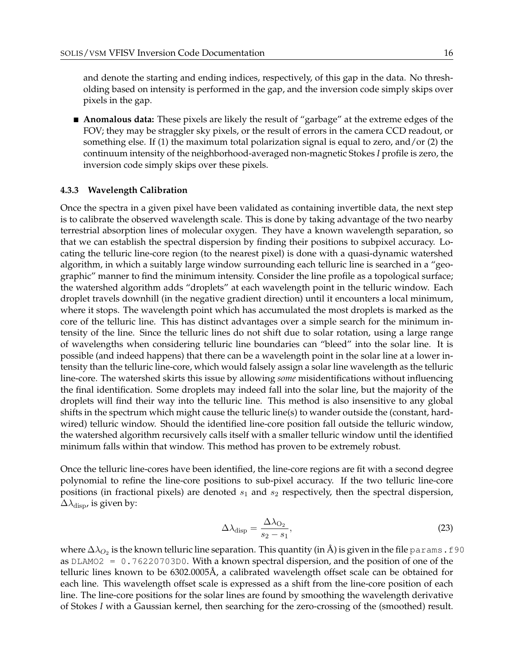and denote the starting and ending indices, respectively, of this gap in the data. No thresholding based on intensity is performed in the gap, and the inversion code simply skips over pixels in the gap.

**Anomalous data:** These pixels are likely the result of "garbage" at the extreme edges of the FOV; they may be straggler sky pixels, or the result of errors in the camera CCD readout, or something else. If (1) the maximum total polarization signal is equal to zero, and/or (2) the continuum intensity of the neighborhood-averaged non-magnetic Stokes *I* profile is zero, the inversion code simply skips over these pixels.

#### <span id="page-16-0"></span>**4.3.3 Wavelength Calibration**

Once the spectra in a given pixel have been validated as containing invertible data, the next step is to calibrate the observed wavelength scale. This is done by taking advantage of the two nearby terrestrial absorption lines of molecular oxygen. They have a known wavelength separation, so that we can establish the spectral dispersion by finding their positions to subpixel accuracy. Locating the telluric line-core region (to the nearest pixel) is done with a quasi-dynamic watershed algorithm, in which a suitably large window surrounding each telluric line is searched in a "geographic" manner to find the minimum intensity. Consider the line profile as a topological surface; the watershed algorithm adds "droplets" at each wavelength point in the telluric window. Each droplet travels downhill (in the negative gradient direction) until it encounters a local minimum, where it stops. The wavelength point which has accumulated the most droplets is marked as the core of the telluric line. This has distinct advantages over a simple search for the minimum intensity of the line. Since the telluric lines do not shift due to solar rotation, using a large range of wavelengths when considering telluric line boundaries can "bleed" into the solar line. It is possible (and indeed happens) that there can be a wavelength point in the solar line at a lower intensity than the telluric line-core, which would falsely assign a solar line wavelength as the telluric line-core. The watershed skirts this issue by allowing *some* misidentifications without influencing the final identification. Some droplets may indeed fall into the solar line, but the majority of the droplets will find their way into the telluric line. This method is also insensitive to any global shifts in the spectrum which might cause the telluric line(s) to wander outside the (constant, hardwired) telluric window. Should the identified line-core position fall outside the telluric window, the watershed algorithm recursively calls itself with a smaller telluric window until the identified minimum falls within that window. This method has proven to be extremely robust.

Once the telluric line-cores have been identified, the line-core regions are fit with a second degree polynomial to refine the line-core positions to sub-pixel accuracy. If the two telluric line-core positions (in fractional pixels) are denoted  $s_1$  and  $s_2$  respectively, then the spectral dispersion,  $\Delta\lambda_{\rm disp}$ , is given by:

$$
\Delta\lambda_{\rm disp} = \frac{\Delta\lambda_{\rm O_2}}{s_2 - s_1},\tag{23}
$$

where  $\Delta\lambda_{O_2}$  is the known telluric line separation. This quantity (in Å) is given in the file <code>params.f90</code> as DLAMO2 = 0.76220703D0. With a known spectral dispersion, and the position of one of the telluric lines known to be 6302.0005A, a calibrated wavelength offset scale can be obtained for ˚ each line. This wavelength offset scale is expressed as a shift from the line-core position of each line. The line-core positions for the solar lines are found by smoothing the wavelength derivative of Stokes *I* with a Gaussian kernel, then searching for the zero-crossing of the (smoothed) result.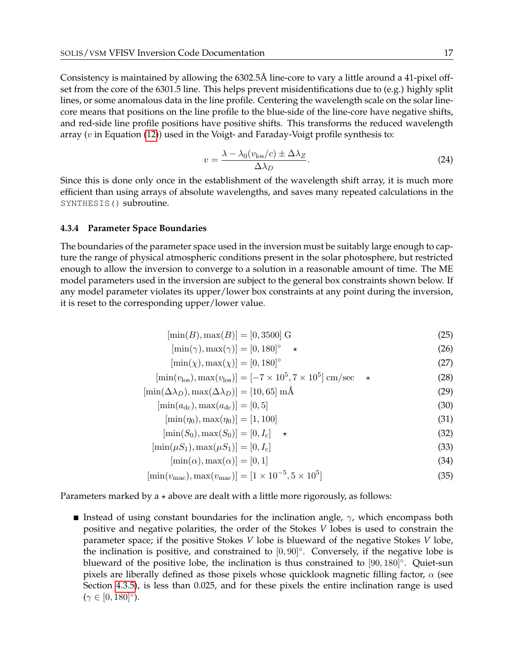Consistency is maintained by allowing the 6302.5Å line-core to vary a little around a 41-pixel offset from the core of the 6301.5 line. This helps prevent misidentifications due to (e.g.) highly split lines, or some anomalous data in the line profile. Centering the wavelength scale on the solar linecore means that positions on the line profile to the blue-side of the line-core have negative shifts, and red-side line profile positions have positive shifts. This transforms the reduced wavelength array ( $v$  in Equation [\(12\)](#page-3-0)) used in the Voigt- and Faraday-Voigt profile synthesis to:

$$
v = \frac{\lambda - \lambda_0 (v_{\text{los}}/c) \pm \Delta \lambda_Z}{\Delta \lambda_D}.
$$
 (24)

Since this is done only once in the establishment of the wavelength shift array, it is much more efficient than using arrays of absolute wavelengths, and saves many repeated calculations in the SYNTHESIS() subroutine.

#### <span id="page-17-0"></span>**4.3.4 Parameter Space Boundaries**

The boundaries of the parameter space used in the inversion must be suitably large enough to capture the range of physical atmospheric conditions present in the solar photosphere, but restricted enough to allow the inversion to converge to a solution in a reasonable amount of time. The ME model parameters used in the inversion are subject to the general box constraints shown below. If any model parameter violates its upper/lower box constraints at any point during the inversion, it is reset to the corresponding upper/lower value.

$$
[\min(B), \max(B)] = [0, 3500] \text{ G}
$$
\n(25)

$$
[\min(\gamma), \max(\gamma)] = [0, 180]^\circ \quad \star \tag{26}
$$

$$
[\min(\chi), \max(\chi)] = [0, 180]^\circ \tag{27}
$$

$$
[\min(v_{\text{los}}), \max(v_{\text{los}})] = [-7 \times 10^5, 7 \times 10^5] \text{ cm/sec} \quad \star
$$
 (28)

$$
[\min(\Delta\lambda_D), \max(\Delta\lambda_D)] = [10, 65] \text{ mA}
$$
\n(29)

$$
[\min(a_{\rm dc}), \max(a_{\rm dc})] = [0, 5]
$$
\n(30)

$$
[\min(\eta_0), \max(\eta_0)] = [1, 100] \tag{31}
$$

$$
[\min(S_0), \max(S_0)] = [0, I_c] \quad \star \tag{32}
$$

$$
[\min(\mu S_1), \max(\mu S_1)] = [0, I_c]
$$
\n(33)

$$
[\min(\alpha), \max(\alpha)] = [0, 1] \tag{34}
$$

$$
[\min(v_{\text{mac}}), \max(v_{\text{mac}})] = [1 \times 10^{-5}, 5 \times 10^5]
$$
\n(35)

Parameters marked by a  $\star$  above are dealt with a little more rigorously, as follows:

**Instead of using constant boundaries for the inclination angle,**  $\gamma$ **, which encompass both** positive and negative polarities, the order of the Stokes *V* lobes is used to constrain the parameter space; if the positive Stokes *V* lobe is blueward of the negative Stokes *V* lobe, the inclination is positive, and constrained to  $[0, 90]^\circ$ . Conversely, if the negative lobe is blueward of the positive lobe, the inclination is thus constrained to  $[90, 180]$ °. Quiet-sun pixels are liberally defined as those pixels whose quicklook magnetic filling factor,  $\alpha$  (see Section [4.3.5\)](#page-18-0), is less than 0.025, and for these pixels the entire inclination range is used  $(\gamma \in [0, 180]^\circ).$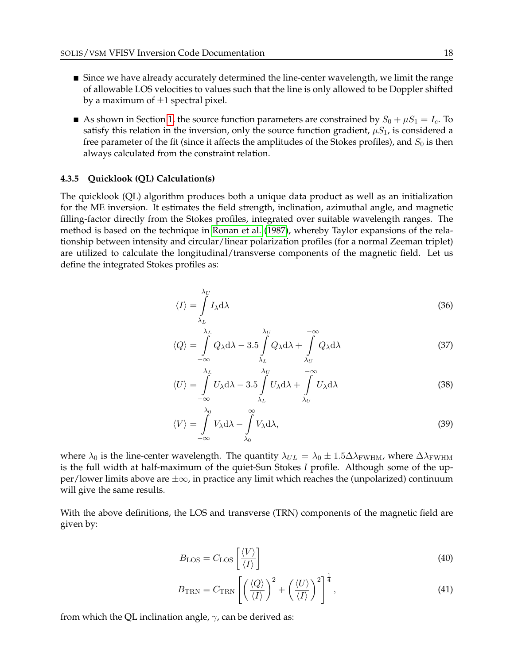- **Since we have already accurately determined the line-center wavelength, we limit the range** of allowable LOS velocities to values such that the line is only allowed to be Doppler shifted by a maximum of  $\pm 1$  spectral pixel.
- As shown in Section [1,](#page-2-0) the source function parameters are constrained by  $S_0 + \mu S_1 = I_c$ . To satisfy this relation in the inversion, only the source function gradient,  $\mu S_1$ , is considered a free parameter of the fit (since it affects the amplitudes of the Stokes profiles), and  $S_0$  is then always calculated from the constraint relation.

#### <span id="page-18-0"></span>**4.3.5 Quicklook (QL) Calculation(s)**

The quicklook (QL) algorithm produces both a unique data product as well as an initialization for the ME inversion. It estimates the field strength, inclination, azimuthal angle, and magnetic filling-factor directly from the Stokes profiles, integrated over suitable wavelength ranges. The method is based on the technique in [Ronan et al.](#page-30-4) [\(1987\)](#page-30-4), whereby Taylor expansions of the relationship between intensity and circular/linear polarization profiles (for a normal Zeeman triplet) are utilized to calculate the longitudinal/transverse components of the magnetic field. Let us define the integrated Stokes profiles as:

$$
\langle I \rangle = \int_{\lambda_L}^{\lambda_U} I_{\lambda} \mathrm{d}\lambda \tag{36}
$$

$$
\langle Q \rangle = \int_{-\infty}^{\lambda_L} Q_{\lambda} d\lambda - 3.5 \int_{\lambda_L}^{\lambda_U} Q_{\lambda} d\lambda + \int_{\lambda_U}^{-\infty} Q_{\lambda} d\lambda \tag{37}
$$

$$
\langle U \rangle = \int_{-\infty}^{\lambda_L} U_{\lambda} d\lambda - 3.5 \int_{\lambda_L}^{\lambda_U} U_{\lambda} d\lambda + \int_{\lambda_U}^{-\infty} U_{\lambda} d\lambda \tag{38}
$$

$$
\langle V \rangle = \int_{-\infty}^{\lambda_0} V_{\lambda} \, \mathrm{d}\lambda - \int_{\lambda_0}^{\infty} V_{\lambda} \, \mathrm{d}\lambda,\tag{39}
$$

where  $\lambda_0$  is the line-center wavelength. The quantity  $\lambda_{UL} = \lambda_0 \pm 1.5 \Delta \lambda_{\rm FWHM}$ , where  $\Delta \lambda_{\rm FWHM}$ is the full width at half-maximum of the quiet-Sun Stokes *I* profile. Although some of the upper/lower limits above are ±∞, in practice any limit which reaches the (unpolarized) continuum will give the same results.

With the above definitions, the LOS and transverse (TRN) components of the magnetic field are given by:

<span id="page-18-2"></span><span id="page-18-1"></span>
$$
B_{\text{LOS}} = C_{\text{LOS}} \left[ \frac{\langle V \rangle}{\langle I \rangle} \right] \tag{40}
$$

$$
B_{\text{TRN}} = C_{\text{TRN}} \left[ \left( \frac{\langle Q \rangle}{\langle I \rangle} \right)^2 + \left( \frac{\langle U \rangle}{\langle I \rangle} \right)^2 \right]^{\frac{1}{4}},\tag{41}
$$

from which the QL inclination angle,  $\gamma$ , can be derived as: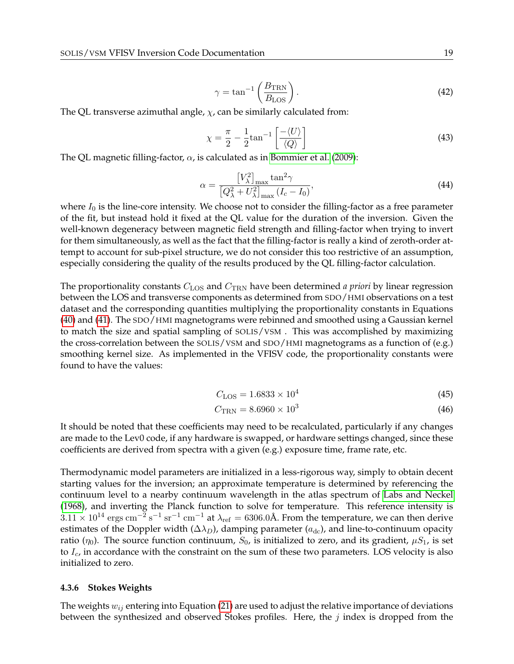$$
\gamma = \tan^{-1} \left( \frac{B_{\text{TRN}}}{B_{\text{LOS}}} \right). \tag{42}
$$

The QL transverse azimuthal angle,  $\chi$ , can be similarly calculated from:

$$
\chi = \frac{\pi}{2} - \frac{1}{2} \tan^{-1} \left[ \frac{-\langle U \rangle}{\langle Q \rangle} \right] \tag{43}
$$

The QL magnetic filling-factor,  $\alpha$ , is calculated as in [Bommier et al.](#page-29-1) [\(2009\)](#page-29-1):

$$
\alpha = \frac{\left[V_{\lambda}^{2}\right]_{\text{max}} \tan^{2}\gamma}{\left[Q_{\lambda}^{2} + U_{\lambda}^{2}\right]_{\text{max}} \left(I_{c} - I_{0}\right)},\tag{44}
$$

where  $I_0$  is the line-core intensity. We choose not to consider the filling-factor as a free parameter of the fit, but instead hold it fixed at the QL value for the duration of the inversion. Given the well-known degeneracy between magnetic field strength and filling-factor when trying to invert for them simultaneously, as well as the fact that the filling-factor is really a kind of zeroth-order attempt to account for sub-pixel structure, we do not consider this too restrictive of an assumption, especially considering the quality of the results produced by the QL filling-factor calculation.

The proportionality constants  $C_{\text{LOS}}$  and  $C_{\text{TRN}}$  have been determined *a priori* by linear regression between the LOS and transverse components as determined from SDO/HMI observations on a test dataset and the corresponding quantities multiplying the proportionality constants in Equations [\(40\)](#page-18-1) and [\(41\)](#page-18-2). The SDO/HMI magnetograms were rebinned and smoothed using a Gaussian kernel to match the size and spatial sampling of SOLIS/VSM . This was accomplished by maximizing the cross-correlation between the SOLIS/VSM and SDO/HMI magnetograms as a function of (e.g.) smoothing kernel size. As implemented in the VFISV code, the proportionality constants were found to have the values:

$$
C_{\text{LOS}} = 1.6833 \times 10^4 \tag{45}
$$

$$
C_{\rm TRN} = 8.6960 \times 10^3 \tag{46}
$$

It should be noted that these coefficients may need to be recalculated, particularly if any changes are made to the Lev0 code, if any hardware is swapped, or hardware settings changed, since these coefficients are derived from spectra with a given (e.g.) exposure time, frame rate, etc.

Thermodynamic model parameters are initialized in a less-rigorous way, simply to obtain decent starting values for the inversion; an approximate temperature is determined by referencing the continuum level to a nearby continuum wavelength in the atlas spectrum of [Labs and Neckel](#page-29-2) [\(1968\)](#page-29-2), and inverting the Planck function to solve for temperature. This reference intensity is  $3.11\times10^{14}$   $\rm{ergs~cm^{-2}~s^{-1}~sr^{-1}~cm^{-1}}$  at  $\lambda_{\rm{ref}}=6306.0$ Å. From the temperature, we can then derive estimates of the Doppler width ( $\Delta\lambda_D$ ), damping parameter ( $a_{dc}$ ), and line-to-continuum opacity ratio  $(\eta_0)$ . The source function continuum,  $S_0$ , is initialized to zero, and its gradient,  $\mu S_1$ , is set to  $I_c$ , in accordance with the constraint on the sum of these two parameters. LOS velocity is also initialized to zero.

#### <span id="page-19-0"></span>**4.3.6 Stokes Weights**

The weights  $w_{ij}$  entering into Equation [\(21\)](#page-5-1) are used to adjust the relative importance of deviations between the synthesized and observed Stokes profiles. Here, the  $j$  index is dropped from the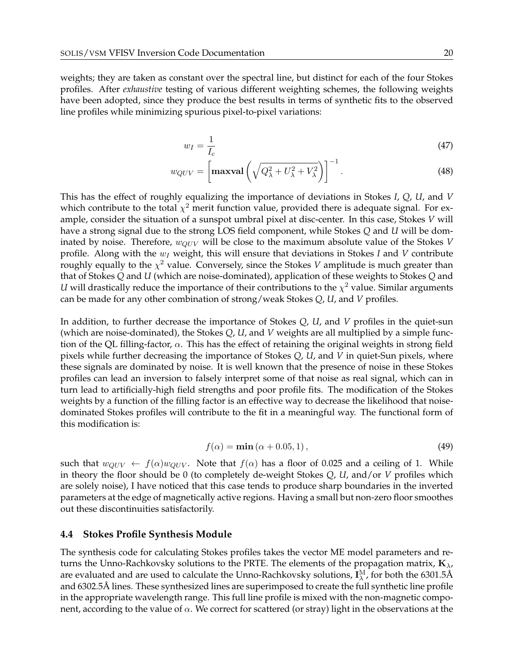weights; they are taken as constant over the spectral line, but distinct for each of the four Stokes profiles. After *exhaustive* testing of various different weighting schemes, the following weights have been adopted, since they produce the best results in terms of synthetic fits to the observed line profiles while minimizing spurious pixel-to-pixel variations:

$$
w_I = \frac{1}{I_c} \tag{47}
$$

$$
w_{QUV} = \left[\max \text{val}\left(\sqrt{Q_{\lambda}^2 + U_{\lambda}^2 + V_{\lambda}^2}\right)\right]^{-1}.\tag{48}
$$

This has the effect of roughly equalizing the importance of deviations in Stokes *I*, *Q*, *U*, and *V* which contribute to the total  $\chi^2$  merit function value, provided there is adequate signal. For example, consider the situation of a sunspot umbral pixel at disc-center. In this case, Stokes *V* will have a strong signal due to the strong LOS field component, while Stokes *Q* and *U* will be dominated by noise. Therefore,  $w_{QUV}$  will be close to the maximum absolute value of the Stokes *V* profile. Along with the  $w_I$  weight, this will ensure that deviations in Stokes *I* and *V* contribute roughly equally to the  $\chi^2$  value. Conversely, since the Stokes *V* amplitude is much greater than that of Stokes *Q* and *U* (which are noise-dominated), application of these weights to Stokes *Q* and *U* will drastically reduce the importance of their contributions to the  $\chi^2$  value. Similar arguments can be made for any other combination of strong/weak Stokes *Q*, *U*, and *V* profiles.

In addition, to further decrease the importance of Stokes *Q*, *U*, and *V* profiles in the quiet-sun (which are noise-dominated), the Stokes *Q*, *U*, and *V* weights are all multiplied by a simple function of the QL filling-factor,  $\alpha$ . This has the effect of retaining the original weights in strong field pixels while further decreasing the importance of Stokes *Q*, *U*, and *V* in quiet-Sun pixels, where these signals are dominated by noise. It is well known that the presence of noise in these Stokes profiles can lead an inversion to falsely interpret some of that noise as real signal, which can in turn lead to artificially-high field strengths and poor profile fits. The modification of the Stokes weights by a function of the filling factor is an effective way to decrease the likelihood that noisedominated Stokes profiles will contribute to the fit in a meaningful way. The functional form of this modification is:

$$
f(\alpha) = \min(\alpha + 0.05, 1),\tag{49}
$$

such that  $w_{QUV} \leftarrow f(\alpha)w_{QUV}$ . Note that  $f(\alpha)$  has a floor of 0.025 and a ceiling of 1. While in theory the floor should be 0 (to completely de-weight Stokes *Q*, *U*, and/or *V* profiles which are solely noise), I have noticed that this case tends to produce sharp boundaries in the inverted parameters at the edge of magnetically active regions. Having a small but non-zero floor smoothes out these discontinuities satisfactorily.

#### <span id="page-20-0"></span>**4.4 Stokes Profile Synthesis Module**

The synthesis code for calculating Stokes profiles takes the vector ME model parameters and returns the Unno-Rachkovsky solutions to the PRTE. The elements of the propagation matrix,  $\mathbf{K}_{\lambda}$ , are evaluated and are used to calculate the Unno-Rachkovsky solutions,  $I_\lambda^M$ , for both the 6301.5Å and 6302.5Å lines. These synthesized lines are superimposed to create the full synthetic line profile in the appropriate wavelength range. This full line profile is mixed with the non-magnetic component, according to the value of  $\alpha$ . We correct for scattered (or stray) light in the observations at the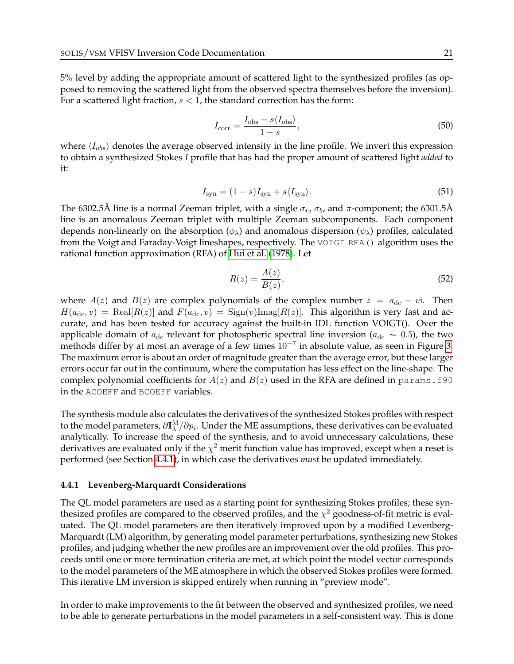5% level by adding the appropriate amount of scattered light to the synthesized profiles (as opposed to removing the scattered light from the observed spectra themselves before the inversion). For a scattered light fraction,  $s < 1$ , the standard correction has the form:

$$
I_{\text{corr}} = \frac{I_{\text{obs}} - s \langle I_{\text{obs}} \rangle}{1 - s},\tag{50}
$$

where  $\langle I_{obs} \rangle$  denotes the average observed intensity in the line profile. We invert this expression to obtain a synthesized Stokes *I* profile that has had the proper amount of scattered light *added* to it:

$$
I_{\rm syn} = (1 - s)I_{\rm syn} + s\langle I_{\rm syn} \rangle. \tag{51}
$$

The 6302.5Å line is a normal Zeeman triplet, with a single  $\sigma_r$ ,  $\sigma_b$ , and  $\pi$ -component; the 6301.5Å line is an anomalous Zeeman triplet with multiple Zeeman subcomponents. Each component depends non-linearly on the absorption ( $\phi_{\lambda}$ ) and anomalous dispersion ( $\psi_{\lambda}$ ) profiles, calculated from the Voigt and Faraday-Voigt lineshapes, respectively. The VOIGT\_RFA() algorithm uses the rational function approximation (RFA) of [Hui et al.](#page-29-3) [\(1978\)](#page-29-3). Let

$$
R(z) = \frac{A(z)}{B(z)},\tag{52}
$$

where  $A(z)$  and  $B(z)$  are complex polynomials of the complex number  $z = a_{\text{dc}} - vi$ . Then  $H(a_{\text{dc}}, v) = \text{Real}[R(z)]$  and  $F(a_{\text{dc}}, v) = \text{Sign}(v) \text{Imag}[R(z)]$ . This algorithm is very fast and accurate, and has been tested for accuracy against the built-in IDL function VOIGT(). Over the applicable domain of  $a_{\rm dc}$  relevant for photospheric spectral line inversion ( $a_{\rm dc} \sim 0.5$ ), the two methods differ by at most an average of a few times  $10^{-7}$  in absolute value, as seen in Figure [3.](#page-22-0) The maximum error is about an order of magnitude greater than the average error, but these larger errors occur far out in the continuum, where the computation has less effect on the line-shape. The complex polynomial coefficients for  $A(z)$  and  $B(z)$  used in the RFA are defined in params. f90 in the ACOEFF and BCOEFF variables.

The synthesis module also calculates the derivatives of the synthesized Stokes profiles with respect to the model parameters,  $\partial \mathbf{I}_\lambda^\text{M}/\partial p_i$ . Under the ME assumptions, these derivatives can be evaluated analytically. To increase the speed of the synthesis, and to avoid unnecessary calculations, these derivatives are evaluated only if the  $\chi^2$  merit function value has improved, except when a reset is performed (see Section [4.4.1\)](#page-21-0), in which case the derivatives *must* be updated immediately.

#### <span id="page-21-0"></span>**4.4.1 Levenberg-Marquardt Considerations**

The QL model parameters are used as a starting point for synthesizing Stokes profiles; these synthesized profiles are compared to the observed profiles, and the  $\chi^2$  goodness-of-fit metric is evaluated. The QL model parameters are then iteratively improved upon by a modified Levenberg-Marquardt (LM) algorithm, by generating model parameter perturbations, synthesizing new Stokes profiles, and judging whether the new profiles are an improvement over the old profiles. This proceeds until one or more termination criteria are met, at which point the model vector corresponds to the model parameters of the ME atmosphere in which the observed Stokes profiles were formed. This iterative LM inversion is skipped entirely when running in "preview mode".

In order to make improvements to the fit between the observed and synthesized profiles, we need to be able to generate perturbations in the model parameters in a self-consistent way. This is done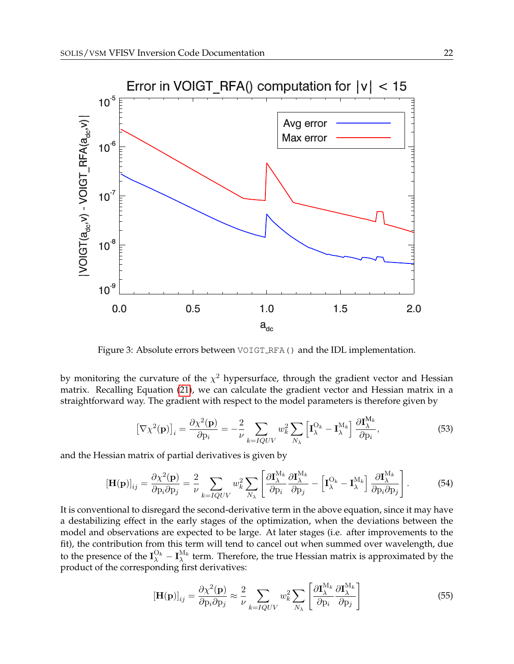

<span id="page-22-0"></span>Figure 3: Absolute errors between VOIGT RFA() and the IDL implementation.

by monitoring the curvature of the  $\chi^2$  hypersurface, through the gradient vector and Hessian matrix. Recalling Equation [\(21\)](#page-5-1), we can calculate the gradient vector and Hessian matrix in a straightforward way. The gradient with respect to the model parameters is therefore given by

$$
\left[\nabla\chi^2(\mathbf{p})\right]_i = \frac{\partial\chi^2(\mathbf{p})}{\partial p_i} = -\frac{2}{\nu}\sum_{k=IQUV} w_k^2 \sum_{N_\lambda} \left[\mathbf{I}_{\lambda}^{O_k} - \mathbf{I}_{\lambda}^{M_k}\right] \frac{\partial \mathbf{I}_{\lambda}^{M_k}}{\partial p_i},\tag{53}
$$

and the Hessian matrix of partial derivatives is given by

$$
\left[\mathbf{H}(\mathbf{p})\right]_{ij} = \frac{\partial \chi^2(\mathbf{p})}{\partial \mathbf{p}_i \partial \mathbf{p}_j} = \frac{2}{\nu} \sum_{k=IQUV} w_k^2 \sum_{N_{\lambda}} \left[ \frac{\partial \mathbf{I}_{\lambda}^{M_k}}{\partial \mathbf{p}_i} \frac{\partial \mathbf{I}_{\lambda}^{M_k}}{\partial \mathbf{p}_j} - \left[ \mathbf{I}_{\lambda}^{O_k} - \mathbf{I}_{\lambda}^{M_k} \right] \frac{\partial \mathbf{I}_{\lambda}^{M_k}}{\partial \mathbf{p}_i \partial \mathbf{p}_j} \right].
$$
 (54)

It is conventional to disregard the second-derivative term in the above equation, since it may have a destabilizing effect in the early stages of the optimization, when the deviations between the model and observations are expected to be large. At later stages (i.e. after improvements to the fit), the contribution from this term will tend to cancel out when summed over wavelength, due to the presence of the  $I_\lambda^{O_k} - I_\lambda^{M_k}$  term. Therefore, the true Hessian matrix is approximated by the product of the corresponding first derivatives:

$$
\left[\mathbf{H}(\mathbf{p})\right]_{ij} = \frac{\partial \chi^2(\mathbf{p})}{\partial \mathbf{p}_i \partial \mathbf{p}_j} \approx \frac{2}{\nu} \sum_{k=IQUV} w_k^2 \sum_{N_{\lambda}} \left[ \frac{\partial \mathbf{I}_{\lambda}^{M_k}}{\partial \mathbf{p}_i} \frac{\partial \mathbf{I}_{\lambda}^{M_k}}{\partial \mathbf{p}_j} \right]
$$
(55)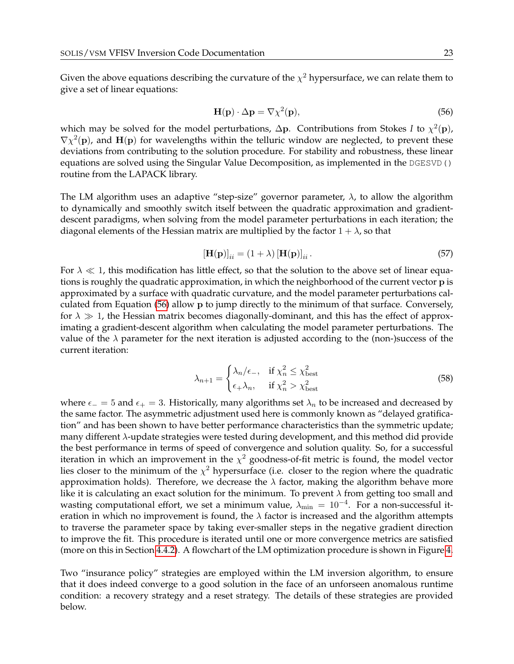Given the above equations describing the curvature of the  $\chi^2$  hypersurface, we can relate them to give a set of linear equations:

<span id="page-23-0"></span>
$$
\mathbf{H}(\mathbf{p}) \cdot \Delta \mathbf{p} = \nabla \chi^2(\mathbf{p}),\tag{56}
$$

which may be solved for the model perturbations,  $\Delta p$ . Contributions from Stokes *I* to  $\chi^2(\mathbf{p})$ ,  $\nabla \chi^2(\mathbf{p})$ , and  $\mathbf{H}(\mathbf{p})$  for wavelengths within the telluric window are neglected, to prevent these deviations from contributing to the solution procedure. For stability and robustness, these linear equations are solved using the Singular Value Decomposition, as implemented in the DGESVD() routine from the LAPACK library.

The LM algorithm uses an adaptive "step-size" governor parameter,  $\lambda$ , to allow the algorithm to dynamically and smoothly switch itself between the quadratic approximation and gradientdescent paradigms, when solving from the model parameter perturbations in each iteration; the diagonal elements of the Hessian matrix are multiplied by the factor  $1 + \lambda$ , so that

$$
\left[\mathbf{H}(\mathbf{p})\right]_{ii} = (1+\lambda)\left[\mathbf{H}(\mathbf{p})\right]_{ii}.\tag{57}
$$

For  $\lambda \ll 1$ , this modification has little effect, so that the solution to the above set of linear equations is roughly the quadratic approximation, in which the neighborhood of the current vector p is approximated by a surface with quadratic curvature, and the model parameter perturbations calculated from Equation [\(56\)](#page-23-0) allow p to jump directly to the minimum of that surface. Conversely, for  $\lambda \gg 1$ , the Hessian matrix becomes diagonally-dominant, and this has the effect of approximating a gradient-descent algorithm when calculating the model parameter perturbations. The value of the  $\lambda$  parameter for the next iteration is adjusted according to the (non-)success of the current iteration:

$$
\lambda_{n+1} = \begin{cases} \lambda_n/\epsilon_-, & \text{if } \chi_n^2 \le \chi_{\text{best}}^2\\ \epsilon_+ \lambda_n, & \text{if } \chi_n^2 > \chi_{\text{best}}^2 \end{cases} \tag{58}
$$

where  $\epsilon_$  = 5 and  $\epsilon_$  = 3. Historically, many algorithms set  $\lambda_n$  to be increased and decreased by the same factor. The asymmetric adjustment used here is commonly known as "delayed gratification" and has been shown to have better performance characteristics than the symmetric update; many different  $\lambda$ -update strategies were tested during development, and this method did provide the best performance in terms of speed of convergence and solution quality. So, for a successful iteration in which an improvement in the  $\chi^2$  goodness-of-fit metric is found, the model vector lies closer to the minimum of the  $\chi^2$  hypersurface (i.e. closer to the region where the quadratic approximation holds). Therefore, we decrease the  $\lambda$  factor, making the algorithm behave more like it is calculating an exact solution for the minimum. To prevent  $\lambda$  from getting too small and wasting computational effort, we set a minimum value,  $\lambda_{\min} \, = \, 10^{-4}. \,$  For a non-successful iteration in which no improvement is found, the  $\lambda$  factor is increased and the algorithm attempts to traverse the parameter space by taking ever-smaller steps in the negative gradient direction to improve the fit. This procedure is iterated until one or more convergence metrics are satisfied (more on this in Section [4.4.2\)](#page-25-0). A flowchart of the LM optimization procedure is shown in Figure [4.](#page-24-0)

Two "insurance policy" strategies are employed within the LM inversion algorithm, to ensure that it does indeed converge to a good solution in the face of an unforseen anomalous runtime condition: a recovery strategy and a reset strategy. The details of these strategies are provided below.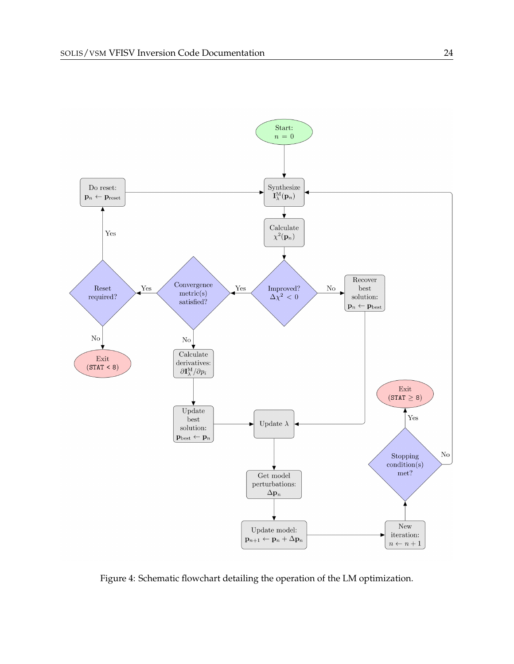

<span id="page-24-0"></span>Figure 4: Schematic flowchart detailing the operation of the LM optimization.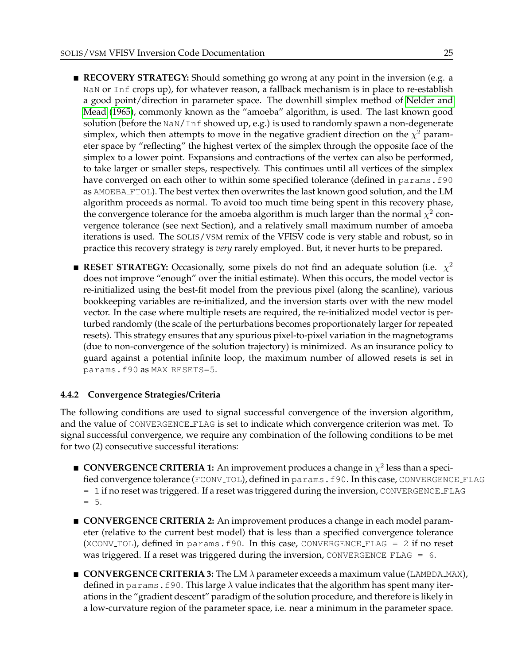- **RECOVERY STRATEGY:** Should something go wrong at any point in the inversion (e.g. a NaN or Inf crops up), for whatever reason, a fallback mechanism is in place to re-establish a good point/direction in parameter space. The downhill simplex method of [Nelder and](#page-30-5) [Mead](#page-30-5) [\(1965\)](#page-30-5), commonly known as the "amoeba" algorithm, is used. The last known good solution (before the NaN/Inf showed up, e.g.) is used to randomly spawn a non-degenerate simplex, which then attempts to move in the negative gradient direction on the  $\chi^2$  parameter space by "reflecting" the highest vertex of the simplex through the opposite face of the simplex to a lower point. Expansions and contractions of the vertex can also be performed, to take larger or smaller steps, respectively. This continues until all vertices of the simplex have converged on each other to within some specified tolerance (defined in params.f90) as AMOEBA FTOL). The best vertex then overwrites the last known good solution, and the LM algorithm proceeds as normal. To avoid too much time being spent in this recovery phase, the convergence tolerance for the amoeba algorithm is much larger than the normal  $\chi^2$  convergence tolerance (see next Section), and a relatively small maximum number of amoeba iterations is used. The SOLIS/VSM remix of the VFISV code is very stable and robust, so in practice this recovery strategy is *very* rarely employed. But, it never hurts to be prepared.
- **RESET STRATEGY:** Occasionally, some pixels do not find an adequate solution (i.e.  $\chi^2$ does not improve "enough" over the initial estimate). When this occurs, the model vector is re-initialized using the best-fit model from the previous pixel (along the scanline), various bookkeeping variables are re-initialized, and the inversion starts over with the new model vector. In the case where multiple resets are required, the re-initialized model vector is perturbed randomly (the scale of the perturbations becomes proportionately larger for repeated resets). This strategy ensures that any spurious pixel-to-pixel variation in the magnetograms (due to non-convergence of the solution trajectory) is minimized. As an insurance policy to guard against a potential infinite loop, the maximum number of allowed resets is set in params.f90 as MAX RESETS=5.

#### <span id="page-25-0"></span>**4.4.2 Convergence Strategies/Criteria**

The following conditions are used to signal successful convergence of the inversion algorithm, and the value of CONVERGENCE FLAG is set to indicate which convergence criterion was met. To signal successful convergence, we require any combination of the following conditions to be met for two (2) consecutive successful iterations:

- **CONVERGENCE CRITERIA 1:** An improvement produces a change in  $\chi^2$  less than a specified convergence tolerance (FCONV\_TOL), defined in params.f90. In this case, CONVERGENCE\_FLAG = 1 if no reset was triggered. If a reset was triggered during the inversion, CONVERGENCE FLAG  $= 5.$
- **CONVERGENCE CRITERIA 2:** An improvement produces a change in each model parameter (relative to the current best model) that is less than a specified convergence tolerance (XCONV\_TOL), defined in params.f90. In this case, CONVERGENCE\_FLAG =  $2$  if no reset was triggered. If a reset was triggered during the inversion, CONVERGENCE  $\text{FLAG} = 6$ .
- **CONVERGENCE CRITERIA 3:** The LM  $\lambda$  parameter exceeds a maximum value (LAMBDA MAX), defined in params. f90. This large  $\lambda$  value indicates that the algorithm has spent many iterations in the "gradient descent" paradigm of the solution procedure, and therefore is likely in a low-curvature region of the parameter space, i.e. near a minimum in the parameter space.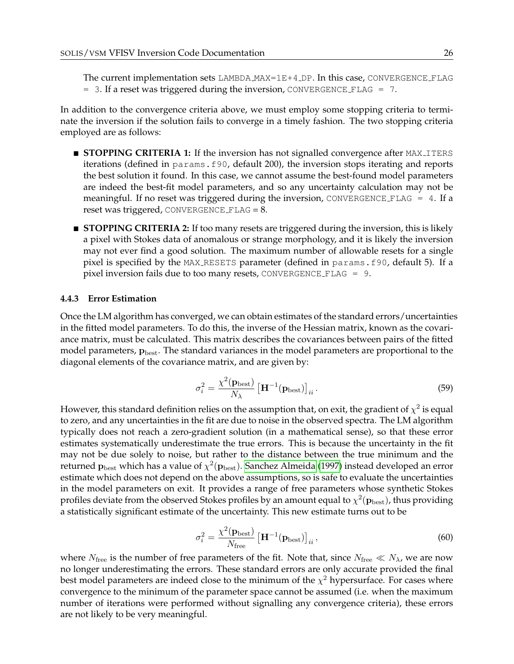The current implementation sets LAMBDA MAX=1E+4 DP. In this case, CONVERGENCE FLAG  $=$  3. If a reset was triggered during the inversion, CONVERGENCE FLAG  $=$  7.

In addition to the convergence criteria above, we must employ some stopping criteria to terminate the inversion if the solution fails to converge in a timely fashion. The two stopping criteria employed are as follows:

- **STOPPING CRITERIA 1:** If the inversion has not signalled convergence after MAX<sub>-ITERS</sub> iterations (defined in params.f90, default 200), the inversion stops iterating and reports the best solution it found. In this case, we cannot assume the best-found model parameters are indeed the best-fit model parameters, and so any uncertainty calculation may not be meaningful. If no reset was triggered during the inversion, CONVERGENCE FLAG  $=$  4. If a reset was triggered, CONVERGENCE  $\text{FALSE} = 8$ .
- **STOPPING CRITERIA 2:** If too many resets are triggered during the inversion, this is likely a pixel with Stokes data of anomalous or strange morphology, and it is likely the inversion may not ever find a good solution. The maximum number of allowable resets for a single pixel is specified by the MAX RESETS parameter (defined in params.f90, default 5). If a pixel inversion fails due to too many resets, CONVERGENCE FLAG = 9.

#### <span id="page-26-0"></span>**4.4.3 Error Estimation**

Once the LM algorithm has converged, we can obtain estimates of the standard errors/uncertainties in the fitted model parameters. To do this, the inverse of the Hessian matrix, known as the covariance matrix, must be calculated. This matrix describes the covariances between pairs of the fitted model parameters,  $\mathbf{p}_{\text{best}}$ . The standard variances in the model parameters are proportional to the diagonal elements of the covariance matrix, and are given by:

$$
\sigma_i^2 = \frac{\chi^2(\mathbf{p}_{\text{best}})}{N_\lambda} \left[ \mathbf{H}^{-1}(\mathbf{p}_{\text{best}}) \right]_{ii} . \tag{59}
$$

However, this standard definition relies on the assumption that, on exit, the gradient of  $\chi^2$  is equal to zero, and any uncertainties in the fit are due to noise in the observed spectra. The LM algorithm typically does not reach a zero-gradient solution (in a mathematical sense), so that these error estimates systematically underestimate the true errors. This is because the uncertainty in the fit may not be due solely to noise, but rather to the distance between the true minimum and the returned  $\mathbf{p}_{\mathrm{best}}$  which has a value of  $\chi^2(\mathbf{p}_{\mathrm{best}})$ . [Sanchez Almeida](#page-30-6) [\(1997\)](#page-30-6) instead developed an error estimate which does not depend on the above assumptions, so is safe to evaluate the uncertainties in the model parameters on exit. It provides a range of free parameters whose synthetic Stokes profiles deviate from the observed Stokes profiles by an amount equal to  $\chi^2({\bf p_{\rm best}})$ , thus providing a statistically significant estimate of the uncertainty. This new estimate turns out to be

$$
\sigma_i^2 = \frac{\chi^2(\mathbf{p}_{\text{best}})}{N_{\text{free}}} \left[ \mathbf{H}^{-1}(\mathbf{p}_{\text{best}}) \right]_{ii},\tag{60}
$$

where  $N_{\text{free}}$  is the number of free parameters of the fit. Note that, since  $N_{\text{free}} \ll N_{\lambda}$ , we are now no longer underestimating the errors. These standard errors are only accurate provided the final best model parameters are indeed close to the minimum of the  $\chi^2$  hypersurface. For cases where convergence to the minimum of the parameter space cannot be assumed (i.e. when the maximum number of iterations were performed without signalling any convergence criteria), these errors are not likely to be very meaningful.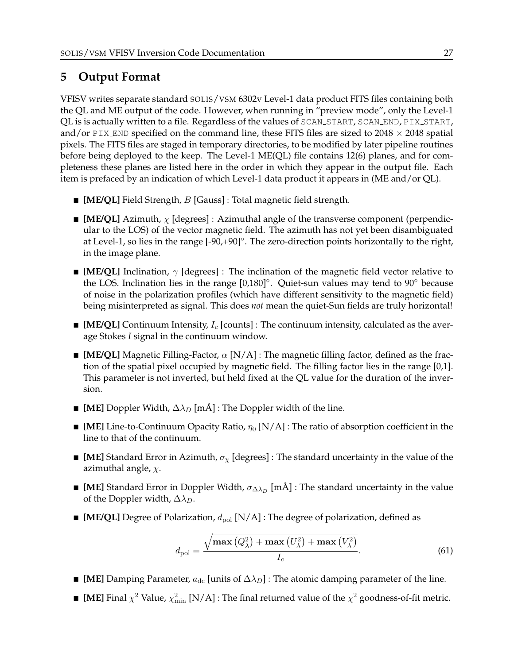## <span id="page-27-0"></span>**5 Output Format**

VFISV writes separate standard SOLIS/VSM 6302v Level-1 data product FITS files containing both the QL and ME output of the code. However, when running in "preview mode", only the Level-1 QL is is actually written to a file. Regardless of the values of SCAN\_START, SCAN\_END, PIX\_START, and/or PIX END specified on the command line, these FITS files are sized to  $2048 \times 2048$  spatial pixels. The FITS files are staged in temporary directories, to be modified by later pipeline routines before being deployed to the keep. The Level-1 ME(QL) file contains 12(6) planes, and for completeness these planes are listed here in the order in which they appear in the output file. Each item is prefaced by an indication of which Level-1 data product it appears in (ME and/or QL).

- [ME/QL] Field Strength, *B* [Gauss] : Total magnetic field strength.
- **III ME/QL**] Azimuth,  $\chi$  [degrees] : Azimuthal angle of the transverse component (perpendicular to the LOS) of the vector magnetic field. The azimuth has not yet been disambiguated at Level-1, so lies in the range [-90,+90]<sup>°</sup>. The zero-direction points horizontally to the right, in the image plane.
- **[ME/QL]** Inclination,  $\gamma$  [degrees] : The inclination of the magnetic field vector relative to the LOS. Inclination lies in the range [0,180]◦ . Quiet-sun values may tend to 90◦ because of noise in the polarization profiles (which have different sensitivity to the magnetic field) being misinterpreted as signal. This does *not* mean the quiet-Sun fields are truly horizontal!
- **III** [ME/QL] Continuum Intensity,  $I_c$  [counts] : The continuum intensity, calculated as the average Stokes *I* signal in the continuum window.
- **IME/QL]** Magnetic Filling-Factor,  $\alpha$  [N/A] : The magnetic filling factor, defined as the fraction of the spatial pixel occupied by magnetic field. The filling factor lies in the range [0,1]. This parameter is not inverted, but held fixed at the QL value for the duration of the inversion.
- **[ME]** Doppler Width,  $\Delta \lambda_D$  [mÅ] : The Doppler width of the line.
- $\blacksquare$  [ME] Line-to-Continuum Opacity Ratio,  $\eta_0$  [N/A] : The ratio of absorption coefficient in the line to that of the continuum.
- **I** [ME] Standard Error in Azimuth,  $\sigma_{\chi}$  [degrees] : The standard uncertainty in the value of the azimuthal angle,  $\chi$ .
- **[ME]** Standard Error in Doppler Width,  $\sigma_{\Delta\lambda_D}$  [mÅ] : The standard uncertainty in the value of the Doppler width,  $\Delta \lambda_D$ .
- **IME/QL]** Degree of Polarization,  $d_{pol}$  [N/A] : The degree of polarization, defined as

$$
d_{\text{pol}} = \frac{\sqrt{\max\left(Q_{\lambda}^{2}\right) + \max\left(U_{\lambda}^{2}\right) + \max\left(V_{\lambda}^{2}\right)}}{I_{c}}.\tag{61}
$$

- **[ME]** Damping Parameter,  $a_{dc}$  [units of  $\Delta \lambda_D$ ] : The atomic damping parameter of the line.
- **IME** Final  $\chi^2$  Value,  $\chi^2_{\text{min}}$  [N/A] : The final returned value of the  $\chi^2$  goodness-of-fit metric.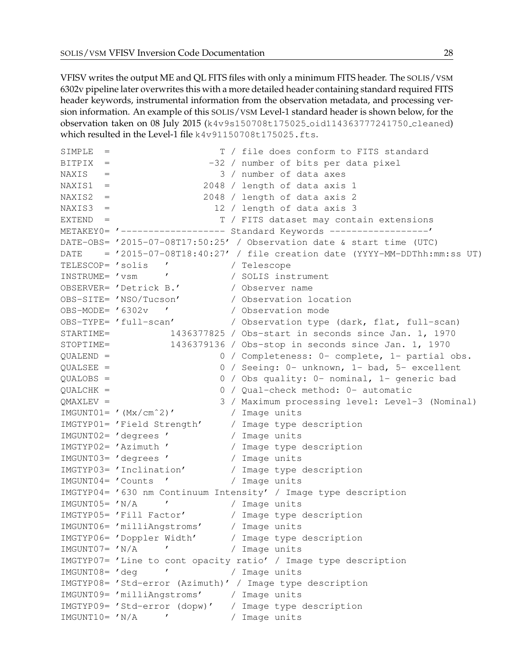VFISV writes the output ME and QL FITS files with only a minimum FITS header. The SOLIS/VSM 6302v pipeline later overwrites this with a more detailed header containing standard required FITS header keywords, instrumental information from the observation metadata, and processing version information. An example of this SOLIS/VSM Level-1 standard header is shown below, for the observation taken on 08 July 2015 (k4v9s150708t175025 oid114363777241750 cleaned) which resulted in the Level-1 file k4v91150708t175025.fts.

SIMPLE = T / file does conform to FITS standard BITPIX =  $-32$  / number of bits per data pixel NAXIS = 3 / number of data axes NAXIS1 = 2048 / length of data axis 1 NAXIS2 = 2048 / length of data axis 2 NAXIS3 = 12 / length of data axis 3 EXTEND = T / FITS dataset may contain extensions METAKEY0= '------------------ Standard Keywords --------------------' DATE-OBS= '2015-07-08T17:50:25' / Observation date & start time (UTC) DATE =  $'2015-07-08T18:40:27'$  / file creation date (YYYY-MM-DDThh:mm:ss UT) TELESCOP= 'solis ' / Telescope INSTRUME= 'vsm ' / SOLIS instrument OBSERVER= 'Detrick B.' / Observer name OBS-SITE= 'NSO/Tucson' / Observation location OBS-MODE= '6302v ' / Observation mode OBS-TYPE= 'full-scan' / Observation type (dark, flat, full-scan) STARTIME= 1436377825 / Obs-start in seconds since Jan. 1, 1970 STOPTIME= 1436379136 / Obs-stop in seconds since Jan. 1, 1970 QUALEND = 0 / Completeness: 0- complete, 1- partial obs. QUALSEE = 0 / Seeing: 0- unknown, 1- bad, 5- excellent QUALOBS = 0 / Obs quality: 0- nominal, 1- generic bad QUALCHK = 0 / Qual-check method: 0- automatic QMAXLEV = 3 / Maximum processing level: Level-3 (Nominal) IMGUNT01= '(Mx/cmˆ2)' / Image units IMGTYP01= 'Field Strength' / Image type description IMGUNT02= 'degrees ' / Image units IMGTYP02= 'Azimuth ' / Image type description IMGUNT03= 'degrees ' / Image units IMGTYP03= 'Inclination' / Image type description IMGUNT04= 'Counts ' / Image units IMGTYP04= '630 nm Continuum Intensity' / Image type description IMGUNT05= 'N/A ' / Image units IMGTYP05= 'Fill Factor' / Image type description IMGUNT06= 'milliAngstroms' / Image units IMGTYP06= 'Doppler Width' / Image type description IMGUNT07= 'N/A ' / Image units IMGTYP07= 'Line to cont opacity ratio' / Image type description IMGUNT08= 'deg ' / Image units IMGTYP08= 'Std-error (Azimuth)' / Image type description IMGUNT09= 'milliAngstroms' / Image units IMGTYP09= 'Std-error (dopw)' / Image type description IMGUNT10= 'N/A ' / Image units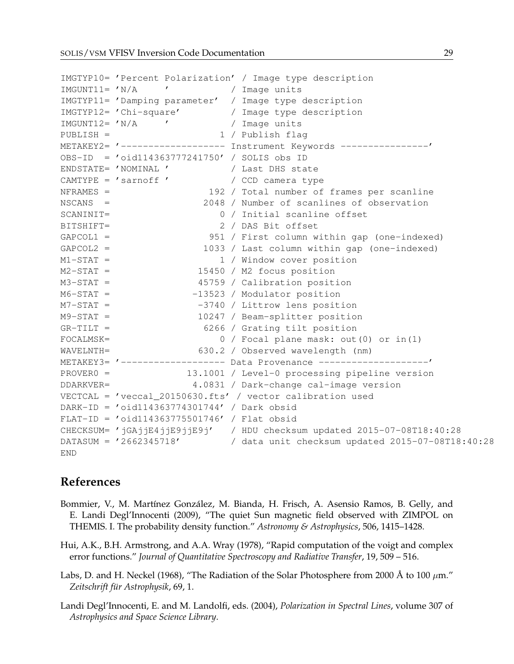|              |                                                                                 | IMGTYP10= 'Percent Polarization' / Image type description               |
|--------------|---------------------------------------------------------------------------------|-------------------------------------------------------------------------|
|              | IMGUNT11= 'N/A ' / Image units                                                  |                                                                         |
|              |                                                                                 | IMGTYP11= 'Damping parameter' / Image type description                  |
|              |                                                                                 | IMGTYP12= 'Chi-square' / Image type description                         |
|              | IMGUNT12= 'N/A ' ' / Image units                                                |                                                                         |
| $PUBLISH =$  |                                                                                 | 1 / Publish flaq                                                        |
|              |                                                                                 |                                                                         |
|              | OBS-ID = 'oid114363777241750' / SOLIS obs ID                                    |                                                                         |
|              | ENDSTATE= 'NOMINAL ' / Last DHS state<br>CAMTYPE = 'sarnoff ' / CCD camera type |                                                                         |
|              |                                                                                 |                                                                         |
| $NFRAMES =$  |                                                                                 | 192 / Total number of frames per scanline                               |
| $NSCANS =$   |                                                                                 | 2048 / Number of scanlines of observation                               |
| SCANINIT=    |                                                                                 | 0 / Initial scanline offset                                             |
| BITSHIFT=    |                                                                                 | 2 / DAS Bit offset                                                      |
| $GAPCOL1 =$  |                                                                                 | 951 / First column within gap (one-indexed)                             |
| $GAPCOL2 =$  |                                                                                 | 1033 / Last column within gap (one-indexed)                             |
| $M1-STAT =$  |                                                                                 | 1 / Window cover position                                               |
| $M2-STAT =$  |                                                                                 | 15450 / M2 focus position                                               |
| $M3-STAT =$  |                                                                                 | 45759 / Calibration position                                            |
| $M6-STAT =$  |                                                                                 | -13523 / Modulator position                                             |
| $M7-STAT =$  |                                                                                 | -3740 / Littrow lens position                                           |
| $M9-STAT =$  |                                                                                 | 10247 / Beam-splitter position                                          |
| $GR-TILT =$  |                                                                                 | 6266 / Grating tilt position                                            |
| $FOCALMSK =$ |                                                                                 | 0 / Focal plane mask: out (0) or in (1)                                 |
| WAVELNTH=    |                                                                                 | 630.2 / Observed wavelength (nm)                                        |
|              |                                                                                 | METAKEY3= '------------------ Data Provenance -------------------'      |
|              |                                                                                 | PROVER0 = 13.1001 / Level-0 processing pipeline version                 |
|              |                                                                                 | DDARKVER= 4.0831 / Dark-change cal-image version                        |
|              |                                                                                 | VECTCAL = 'veccal_20150630.fts' / vector calibration used               |
|              | DARK-ID = 'oid114363774301744' / Dark obsid                                     |                                                                         |
|              | FLAT-ID = 'oid114363775501746' / Flat obsid                                     |                                                                         |
|              |                                                                                 | CHECKSUM= 'jGAjjE4jjE9jjE9j' / HDU checksum updated 2015-07-08T18:40:28 |
|              |                                                                                 | DATASUM = '2662345718' / data unit checksum updated 2015-07-08T18:40:28 |
| <b>END</b>   |                                                                                 |                                                                         |

## **References**

- <span id="page-29-1"></span>Bommier, V., M. Martínez González, M. Bianda, H. Frisch, A. Asensio Ramos, B. Gelly, and E. Landi Degl'Innocenti (2009), "The quiet Sun magnetic field observed with ZIMPOL on THEMIS. I. The probability density function." *Astronomy & Astrophysics*, 506, 1415–1428.
- <span id="page-29-3"></span>Hui, A.K., B.H. Armstrong, and A.A. Wray (1978), "Rapid computation of the voigt and complex error functions." *Journal of Quantitative Spectroscopy and Radiative Transfer*, 19, 509 – 516.
- <span id="page-29-2"></span>Labs, D. and H. Neckel (1968), "The Radiation of the Solar Photosphere from 2000 Å to 100  $\mu$ m." *Zeitschrift f ¨ur Astrophysik*, 69, 1.
- <span id="page-29-0"></span>Landi Degl'Innocenti, E. and M. Landolfi, eds. (2004), *Polarization in Spectral Lines*, volume 307 of *Astrophysics and Space Science Library*.